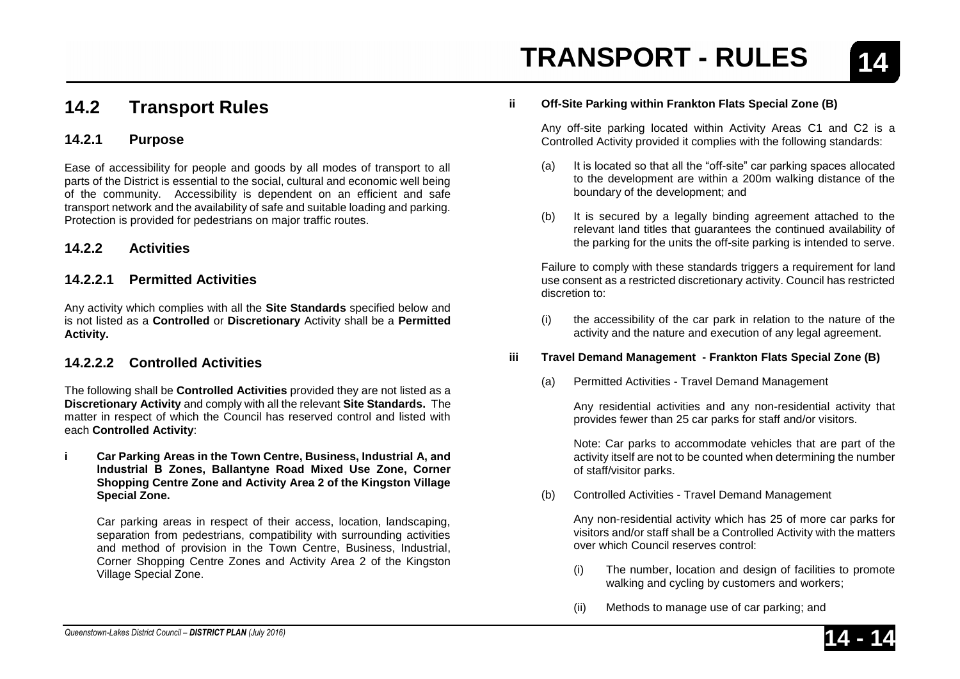### **14.2 Transport Rules**

#### **14.2.1 Purpose**

Ease of accessibility for people and goods by all modes of transport to all parts of the District is essential to the social, cultural and economic well being of the community. Accessibility is dependent on an efficient and safe transport network and the availability of safe and suitable loading and parking. Protection is provided for pedestrians on major traffic routes.

#### **14.2.2 Activities**

#### **14.2.2.1 Permitted Activities**

Any activity which complies with all the **Site Standards** specified below and is not listed as a **Controlled** or **Discretionary** Activity shall be a **Permitted Activity.**

#### **14.2.2.2 Controlled Activities**

The following shall be **Controlled Activities** provided they are not listed as a **Discretionary Activity** and comply with all the relevant **Site Standards.** The matter in respect of which the Council has reserved control and listed with each **Controlled Activity**:

**i Car Parking Areas in the Town Centre, Business, Industrial A, and Industrial B Zones, Ballantyne Road Mixed Use Zone, Corner Shopping Centre Zone and Activity Area 2 of the Kingston Village Special Zone.**

Car parking areas in respect of their access, location, landscaping, separation from pedestrians, compatibility with surrounding activities and method of provision in the Town Centre, Business, Industrial, Corner Shopping Centre Zones and Activity Area 2 of the Kingston Village Special Zone.

#### **ii Off-Site Parking within Frankton Flats Special Zone (B)**

Any off-site parking located within Activity Areas C1 and C2 is a Controlled Activity provided it complies with the following standards:

- (a) It is located so that all the "off-site" car parking spaces allocated to the development are within a 200m walking distance of the boundary of the development; and
- (b) It is secured by a legally binding agreement attached to the relevant land titles that guarantees the continued availability of the parking for the units the off-site parking is intended to serve.

Failure to comply with these standards triggers a requirement for land use consent as a restricted discretionary activity. Council has restricted discretion to:

(i) the accessibility of the car park in relation to the nature of the activity and the nature and execution of any legal agreement.

#### **iii Travel Demand Management - Frankton Flats Special Zone (B)**

(a) Permitted Activities - Travel Demand Management

Any residential activities and any non-residential activity that provides fewer than 25 car parks for staff and/or visitors.

Note: Car parks to accommodate vehicles that are part of the activity itself are not to be counted when determining the number of staff/visitor parks.

(b) Controlled Activities - Travel Demand Management

Any non-residential activity which has 25 of more car parks for visitors and/or staff shall be a Controlled Activity with the matters over which Council reserves control:

- (i) The number, location and design of facilities to promote walking and cycling by customers and workers;
- (ii) Methods to manage use of car parking; and

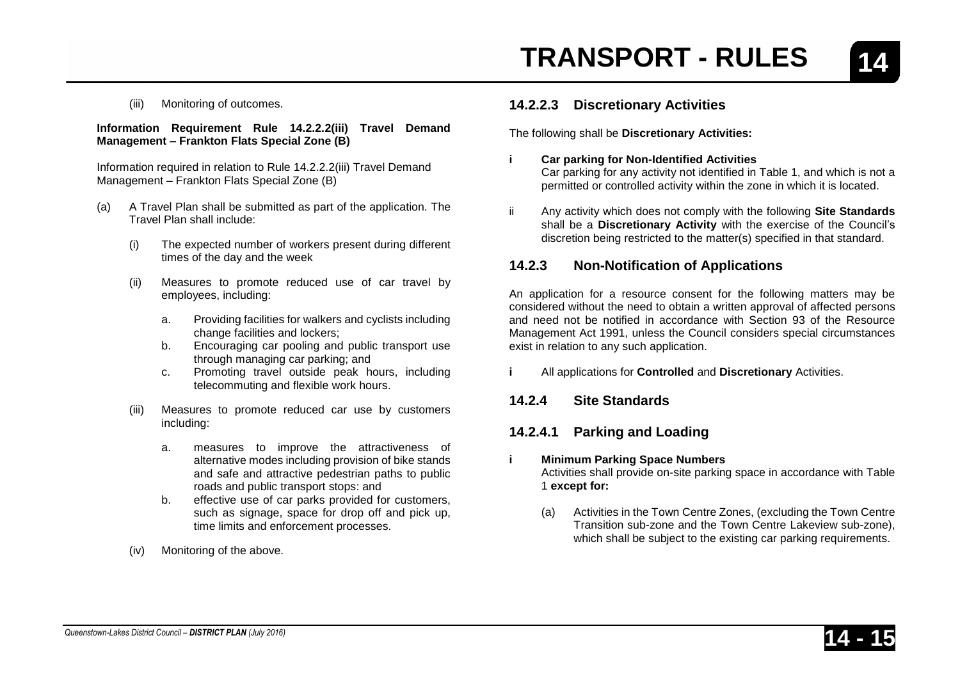(iii) Monitoring of outcomes.

**Information Requirement Rule 14.2.2.2(iii) Travel Demand Management – Frankton Flats Special Zone (B)**

Information required in relation to Rule 14.2.2.2(iii) Travel Demand Management – Frankton Flats Special Zone (B)

- (a) A Travel Plan shall be submitted as part of the application. The Travel Plan shall include:
	- (i) The expected number of workers present during different times of the day and the week
	- (ii) Measures to promote reduced use of car travel by employees, including:
		- a. Providing facilities for walkers and cyclists including change facilities and lockers;
		- b. Encouraging car pooling and public transport use through managing car parking; and
		- c. Promoting travel outside peak hours, including telecommuting and flexible work hours.
	- (iii) Measures to promote reduced car use by customers including:
		- a. measures to improve the attractiveness of alternative modes including provision of bike stands and safe and attractive pedestrian paths to public roads and public transport stops: and
		- b. effective use of car parks provided for customers, such as signage, space for drop off and pick up, time limits and enforcement processes.
	- (iv) Monitoring of the above.

#### **14.2.2.3 Discretionary Activities**

The following shall be **Discretionary Activities:**

**i Car parking for Non-Identified Activities**

Car parking for any activity not identified in Table 1, and which is not a permitted or controlled activity within the zone in which it is located.

ii Any activity which does not comply with the following **Site Standards** shall be a **Discretionary Activity** with the exercise of the Council's discretion being restricted to the matter(s) specified in that standard.

#### **14.2.3 Non-Notification of Applications**

An application for a resource consent for the following matters may be considered without the need to obtain a written approval of affected persons and need not be notified in accordance with Section 93 of the Resource Management Act 1991, unless the Council considers special circumstances exist in relation to any such application.

**i** All applications for **Controlled** and **Discretionary** Activities.

#### **14.2.4 Site Standards**

#### **14.2.4.1 Parking and Loading**

#### **i Minimum Parking Space Numbers**

Activities shall provide on-site parking space in accordance with Table 1 **except for:**

(a) Activities in the Town Centre Zones, (excluding the Town Centre Transition sub-zone and the Town Centre Lakeview sub-zone), which shall be subject to the existing car parking requirements.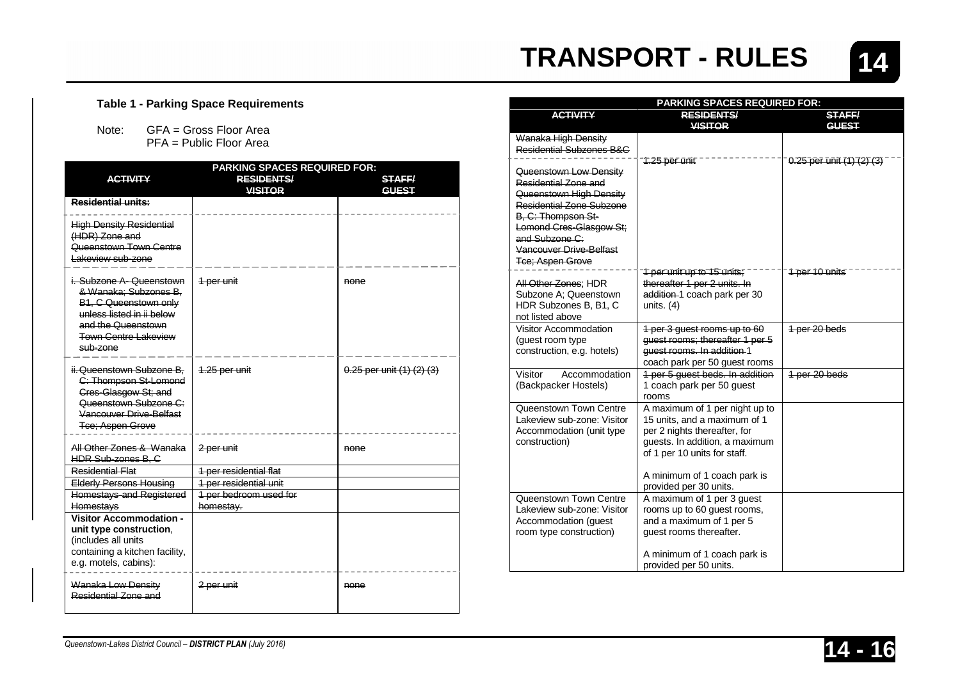

#### **Table 1 - Parking Space Requirements**

Note: GFA = Gross Floor Area PFA = Public Floor Area

|                                                                                                                                                                                 | <b>PARKING SPACES REQUIRED FOR:</b> |                                   |
|---------------------------------------------------------------------------------------------------------------------------------------------------------------------------------|-------------------------------------|-----------------------------------|
| <b>ACTIVITY</b>                                                                                                                                                                 | <b>RESIDENTS/</b>                   | <b>STAFF/</b>                     |
|                                                                                                                                                                                 | <b>VISITOR</b>                      | <b>GUEST</b>                      |
| Residential units:                                                                                                                                                              |                                     |                                   |
| <b>High Density Residential</b><br>(HDR) Zone and<br>Queenstown Town Centre<br>Lakeview sub-zone                                                                                |                                     |                                   |
| i. Subzone A- Queenstown<br>& Wanaka: Subzones B.<br><b>B1. C Queenstown only</b><br>unless listed in ii below<br>and the Queenstown<br><b>Town Centre Lakeview</b><br>sub-zone | 1 per unit                          | none                              |
| ii. Queenstown Subzone B,<br>C: Thompson St-Lomond<br><b>Cres-Glasgow St; and</b><br>Queenstown Subzone C:<br>Vancouver Drive-Belfast<br>Tce; Aspen Grove                       | 1.25 per unit                       | $0.25$ per unit $(1)$ $(2)$ $(3)$ |
| All Other Zones & Wanaka<br><b>HDR Sub-zones B, C</b>                                                                                                                           | 2 per unit                          | none                              |
| Residential Flat                                                                                                                                                                | 1 per residential flat              |                                   |
| <b>Elderly Persons Housing</b>                                                                                                                                                  | 1 per residential unit              |                                   |
| Homestays and Registered                                                                                                                                                        | 1 per bedroom used for              |                                   |
| <b>Homestays</b>                                                                                                                                                                | homestay.                           |                                   |
| <b>Visitor Accommodation -</b><br>unit type construction.<br>(includes all units<br>containing a kitchen facility,<br>e.g. motels, cabins):                                     |                                     |                                   |
| Wanaka Low Density<br>Residential Zone and                                                                                                                                      | 2-per-unit                          | none                              |

| <b>RESIDENTS/</b><br><b>ACTIVITY</b><br><b>STAFF/</b><br><b>VISITOR</b><br>GUEST<br>Wanaka High Density<br>Residential Subzones B&C<br>$0.25$ per unit $(1)$ $(2)$ $(3)$<br><del>1.25 por unit</del><br>Queenstown Low Density<br>Residential Zone and<br>Queenstown High Density<br><b>Residential Zone Subzone</b><br>B. C: Thompson St-<br>Lomond Cres-Glasgow St;<br>and Subzone C:<br>Vancouver Drive-Belfast<br>Tce: Aspen Grove<br><del>'f por unit up to 15 units.</del><br>1 per 10 units<br>thereafter 1 per 2 units. In<br>All Other Zones: HDR<br>Subzone A: Queenstown<br>addition-1 coach park per 30<br>HDR Subzones B, B1, C<br>units. $(4)$<br>not listed above<br>1 per 20 beds<br>Visitor Accommodation<br>1 per 3 guest rooms up to 60<br>guest rooms; thereafter 1 per 5<br>(guest room type<br>quest rooms. In addition 1<br>construction, e.g. hotels)<br>coach park per 50 guest rooms<br>Visitor<br>Accommodation<br>1 per 5 quest beds. In addition<br>1 per 20 beds<br>(Backpacker Hostels)<br>1 coach park per 50 guest | <b>PARKING SPACES REQUIRED FOR:</b> |  |
|-----------------------------------------------------------------------------------------------------------------------------------------------------------------------------------------------------------------------------------------------------------------------------------------------------------------------------------------------------------------------------------------------------------------------------------------------------------------------------------------------------------------------------------------------------------------------------------------------------------------------------------------------------------------------------------------------------------------------------------------------------------------------------------------------------------------------------------------------------------------------------------------------------------------------------------------------------------------------------------------------------------------------------------------------------|-------------------------------------|--|
|                                                                                                                                                                                                                                                                                                                                                                                                                                                                                                                                                                                                                                                                                                                                                                                                                                                                                                                                                                                                                                                     |                                     |  |
|                                                                                                                                                                                                                                                                                                                                                                                                                                                                                                                                                                                                                                                                                                                                                                                                                                                                                                                                                                                                                                                     |                                     |  |
|                                                                                                                                                                                                                                                                                                                                                                                                                                                                                                                                                                                                                                                                                                                                                                                                                                                                                                                                                                                                                                                     |                                     |  |
|                                                                                                                                                                                                                                                                                                                                                                                                                                                                                                                                                                                                                                                                                                                                                                                                                                                                                                                                                                                                                                                     |                                     |  |
|                                                                                                                                                                                                                                                                                                                                                                                                                                                                                                                                                                                                                                                                                                                                                                                                                                                                                                                                                                                                                                                     |                                     |  |
|                                                                                                                                                                                                                                                                                                                                                                                                                                                                                                                                                                                                                                                                                                                                                                                                                                                                                                                                                                                                                                                     |                                     |  |
|                                                                                                                                                                                                                                                                                                                                                                                                                                                                                                                                                                                                                                                                                                                                                                                                                                                                                                                                                                                                                                                     |                                     |  |
|                                                                                                                                                                                                                                                                                                                                                                                                                                                                                                                                                                                                                                                                                                                                                                                                                                                                                                                                                                                                                                                     |                                     |  |
|                                                                                                                                                                                                                                                                                                                                                                                                                                                                                                                                                                                                                                                                                                                                                                                                                                                                                                                                                                                                                                                     |                                     |  |
|                                                                                                                                                                                                                                                                                                                                                                                                                                                                                                                                                                                                                                                                                                                                                                                                                                                                                                                                                                                                                                                     |                                     |  |
|                                                                                                                                                                                                                                                                                                                                                                                                                                                                                                                                                                                                                                                                                                                                                                                                                                                                                                                                                                                                                                                     |                                     |  |
|                                                                                                                                                                                                                                                                                                                                                                                                                                                                                                                                                                                                                                                                                                                                                                                                                                                                                                                                                                                                                                                     |                                     |  |
|                                                                                                                                                                                                                                                                                                                                                                                                                                                                                                                                                                                                                                                                                                                                                                                                                                                                                                                                                                                                                                                     |                                     |  |
|                                                                                                                                                                                                                                                                                                                                                                                                                                                                                                                                                                                                                                                                                                                                                                                                                                                                                                                                                                                                                                                     |                                     |  |
|                                                                                                                                                                                                                                                                                                                                                                                                                                                                                                                                                                                                                                                                                                                                                                                                                                                                                                                                                                                                                                                     |                                     |  |
|                                                                                                                                                                                                                                                                                                                                                                                                                                                                                                                                                                                                                                                                                                                                                                                                                                                                                                                                                                                                                                                     |                                     |  |
|                                                                                                                                                                                                                                                                                                                                                                                                                                                                                                                                                                                                                                                                                                                                                                                                                                                                                                                                                                                                                                                     |                                     |  |
|                                                                                                                                                                                                                                                                                                                                                                                                                                                                                                                                                                                                                                                                                                                                                                                                                                                                                                                                                                                                                                                     |                                     |  |
|                                                                                                                                                                                                                                                                                                                                                                                                                                                                                                                                                                                                                                                                                                                                                                                                                                                                                                                                                                                                                                                     |                                     |  |
|                                                                                                                                                                                                                                                                                                                                                                                                                                                                                                                                                                                                                                                                                                                                                                                                                                                                                                                                                                                                                                                     |                                     |  |
|                                                                                                                                                                                                                                                                                                                                                                                                                                                                                                                                                                                                                                                                                                                                                                                                                                                                                                                                                                                                                                                     |                                     |  |
|                                                                                                                                                                                                                                                                                                                                                                                                                                                                                                                                                                                                                                                                                                                                                                                                                                                                                                                                                                                                                                                     |                                     |  |
|                                                                                                                                                                                                                                                                                                                                                                                                                                                                                                                                                                                                                                                                                                                                                                                                                                                                                                                                                                                                                                                     |                                     |  |
|                                                                                                                                                                                                                                                                                                                                                                                                                                                                                                                                                                                                                                                                                                                                                                                                                                                                                                                                                                                                                                                     |                                     |  |
| rooms<br>Queenstown Town Centre<br>A maximum of 1 per night up to                                                                                                                                                                                                                                                                                                                                                                                                                                                                                                                                                                                                                                                                                                                                                                                                                                                                                                                                                                                   |                                     |  |
| Lakeview sub-zone: Visitor<br>15 units, and a maximum of 1                                                                                                                                                                                                                                                                                                                                                                                                                                                                                                                                                                                                                                                                                                                                                                                                                                                                                                                                                                                          |                                     |  |
| per 2 nights thereafter, for<br>Accommodation (unit type                                                                                                                                                                                                                                                                                                                                                                                                                                                                                                                                                                                                                                                                                                                                                                                                                                                                                                                                                                                            |                                     |  |
| construction)<br>quests. In addition, a maximum                                                                                                                                                                                                                                                                                                                                                                                                                                                                                                                                                                                                                                                                                                                                                                                                                                                                                                                                                                                                     |                                     |  |
| of 1 per 10 units for staff.                                                                                                                                                                                                                                                                                                                                                                                                                                                                                                                                                                                                                                                                                                                                                                                                                                                                                                                                                                                                                        |                                     |  |
|                                                                                                                                                                                                                                                                                                                                                                                                                                                                                                                                                                                                                                                                                                                                                                                                                                                                                                                                                                                                                                                     |                                     |  |
| A minimum of 1 coach park is                                                                                                                                                                                                                                                                                                                                                                                                                                                                                                                                                                                                                                                                                                                                                                                                                                                                                                                                                                                                                        |                                     |  |
| provided per 30 units.                                                                                                                                                                                                                                                                                                                                                                                                                                                                                                                                                                                                                                                                                                                                                                                                                                                                                                                                                                                                                              |                                     |  |
| Queenstown Town Centre<br>A maximum of 1 per 3 guest                                                                                                                                                                                                                                                                                                                                                                                                                                                                                                                                                                                                                                                                                                                                                                                                                                                                                                                                                                                                |                                     |  |
| Lakeview sub-zone: Visitor<br>rooms up to 60 guest rooms,                                                                                                                                                                                                                                                                                                                                                                                                                                                                                                                                                                                                                                                                                                                                                                                                                                                                                                                                                                                           |                                     |  |
| and a maximum of 1 per 5<br>Accommodation (guest                                                                                                                                                                                                                                                                                                                                                                                                                                                                                                                                                                                                                                                                                                                                                                                                                                                                                                                                                                                                    |                                     |  |
| room type construction)<br>guest rooms thereafter.                                                                                                                                                                                                                                                                                                                                                                                                                                                                                                                                                                                                                                                                                                                                                                                                                                                                                                                                                                                                  |                                     |  |
| A minimum of 1 coach park is                                                                                                                                                                                                                                                                                                                                                                                                                                                                                                                                                                                                                                                                                                                                                                                                                                                                                                                                                                                                                        |                                     |  |
| provided per 50 units.                                                                                                                                                                                                                                                                                                                                                                                                                                                                                                                                                                                                                                                                                                                                                                                                                                                                                                                                                                                                                              |                                     |  |

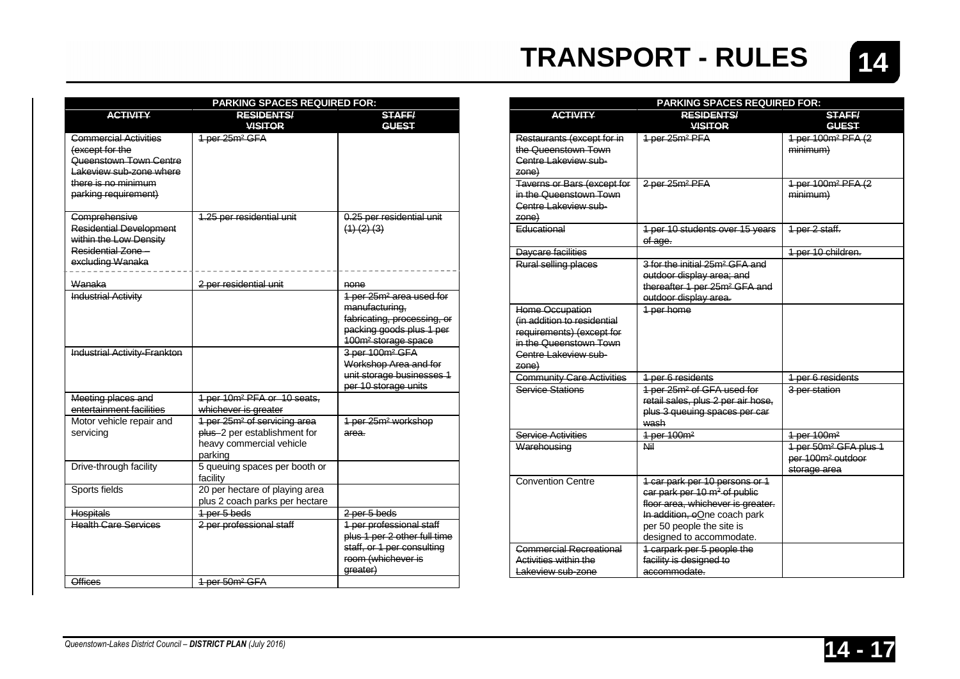

|                                                                                                                                              | <b>PARKING SPACES REQUIRED FOR:</b>                                                                              |                                                                                                                                                      |
|----------------------------------------------------------------------------------------------------------------------------------------------|------------------------------------------------------------------------------------------------------------------|------------------------------------------------------------------------------------------------------------------------------------------------------|
| <b>ACTIVITY</b>                                                                                                                              | <b>RESIDENTS/</b>                                                                                                | <b>STAFF/</b>                                                                                                                                        |
|                                                                                                                                              | <b>VISITOR</b>                                                                                                   | <b>GUEST</b>                                                                                                                                         |
| Commercial Activities<br>(except for the<br>Queenstown Town Centre<br>Lakeview sub-zone where<br>there is no minimum<br>parking requirement) | 1 per 25m <sup>2</sup> GFA                                                                                       |                                                                                                                                                      |
| Comprehensive<br><b>Residential Development</b><br>within the Low Density<br>Residential Zone -<br>excluding Wanaka                          | 1.25 per residential unit                                                                                        | 0.25 per residential unit<br>$(1)$ $(2)$ $(3)$                                                                                                       |
| Wanaka                                                                                                                                       | 2 per residential unit                                                                                           | none                                                                                                                                                 |
| <b>Industrial Activity</b>                                                                                                                   |                                                                                                                  | 1 per 25m <sup>2</sup> area used for<br>manufacturing,<br>fabricating, processing, or<br>packing goods plus 1 per<br>100m <sup>2</sup> storage space |
| Industrial Activity-Frankton                                                                                                                 |                                                                                                                  | 3-per-100m <sup>2</sup> GFA<br>Workshop Area and for<br>unit storage businesses 1<br>per 10 storage units                                            |
| Meeting places and<br>entertainment facilities                                                                                               | 1 per 10m <sup>2</sup> PFA or 10 seats,<br>whichever is greater                                                  |                                                                                                                                                      |
| Motor vehicle repair and<br>servicing                                                                                                        | 1 per 25m <sup>2</sup> of servicing area<br>plus -2 per establishment for<br>heavy commercial vehicle<br>parking | 1 per 25m <sup>2</sup> workshop<br>area.                                                                                                             |
| Drive-through facility                                                                                                                       | 5 queuing spaces per booth or<br>facility                                                                        |                                                                                                                                                      |
| Sports fields                                                                                                                                | 20 per hectare of playing area<br>plus 2 coach parks per hectare                                                 |                                                                                                                                                      |
| <b>Hospitals</b>                                                                                                                             | 1 per 5 beds                                                                                                     | 2 per 5 beds                                                                                                                                         |
| <b>Health Care Services</b>                                                                                                                  | 2 per professional staff                                                                                         | 1 per professional staff<br>plus 1 per 2 other full time<br>staff, or 1 per consulting<br>room (whichever is<br>greater)                             |
| <b>Offices</b>                                                                                                                               | 1 per 50m <sup>2</sup> GFA                                                                                       |                                                                                                                                                      |

|                                                                                                                                        | <b>PARKING SPACES REQUIRED FOR:</b>                                                                                                                                                                      |                                                                                    |
|----------------------------------------------------------------------------------------------------------------------------------------|----------------------------------------------------------------------------------------------------------------------------------------------------------------------------------------------------------|------------------------------------------------------------------------------------|
| <b>ACTIVITY</b>                                                                                                                        | <b>RESIDENTS/</b><br><b>VISITOR</b>                                                                                                                                                                      | <b>STAFF/</b><br><b>GUEST</b>                                                      |
| Restaurants (except for in<br>the Queenstown Town<br>Centre Lakeview sub-<br>zone)                                                     | 1-per-25m <sup>2</sup> PFA                                                                                                                                                                               | 1 per 100m <sup>2</sup> PFA (2<br>minimum)                                         |
| Taverns or Bars (except for<br>in the Queenstown Town<br>Centre Lakeview sub-<br>zone)                                                 | 2 per 25m <sup>2</sup> PFA                                                                                                                                                                               | 1 per 100m <sup>2</sup> PFA (2<br>minimum)                                         |
| <b>Educational</b>                                                                                                                     | 1 per 10 students over 15 years<br>of age.                                                                                                                                                               | 1 per 2 staff.                                                                     |
| Daycare facilities                                                                                                                     |                                                                                                                                                                                                          | 1 per 10 children.                                                                 |
| Rural selling places                                                                                                                   | 3 for the initial 25m <sup>2</sup> GFA and<br>outdoor display area; and<br>thereafter 1 per 25m <sup>2</sup> GFA and<br>outdoor display area.                                                            |                                                                                    |
| Home Occupation<br>(in addition to residential<br>requirements) (except for<br>in the Queenstown Town<br>Centre Lakeview sub-<br>zone) | 1-per-home                                                                                                                                                                                               |                                                                                    |
| <b>Community Care Activities</b>                                                                                                       | 1 per 6 residents                                                                                                                                                                                        | 1 per 6 residents                                                                  |
| <b>Service Stations</b>                                                                                                                | 1 per 25m <sup>2</sup> of GFA used for<br>retail sales, plus 2 per air hose,<br>plus 3 queuing spaces per car<br>wash                                                                                    | 3 per station                                                                      |
| Service Activities                                                                                                                     | 1 per 100m <sup>2</sup>                                                                                                                                                                                  | 1 per 100m <sup>2</sup>                                                            |
| Warehousing                                                                                                                            | Nil                                                                                                                                                                                                      | 1 per 50m <sup>2</sup> GFA plus 1<br>per 100m <sup>2</sup> outdoor<br>storage area |
| <b>Convention Centre</b>                                                                                                               | 1 car park per 10 persons or 1<br>car park per 10 m <sup>2</sup> of public<br>floor area, whichever is greater.<br>In addition, oOne coach park<br>per 50 people the site is<br>designed to accommodate. |                                                                                    |
| Commercial Recreational<br>Activities within the<br>Lakeview sub-zone                                                                  | 1 carpark per 5 people the<br>facility is designed to<br>accommodate.                                                                                                                                    |                                                                                    |

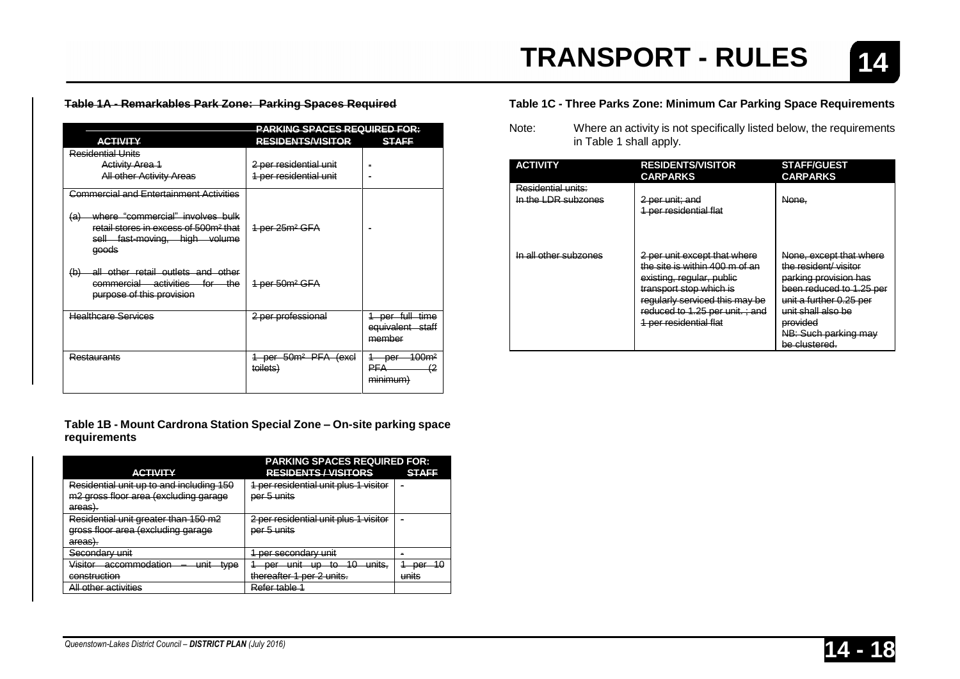#### **Table 1A - Remarkables Park Zone: Parking Spaces Required**

|                                                                                                                                        | <b>PARKING SPACES REQUIRED FOR:</b>          |                                                        |
|----------------------------------------------------------------------------------------------------------------------------------------|----------------------------------------------|--------------------------------------------------------|
| <b>ACTIVITY</b>                                                                                                                        | <b>RESIDENTS/VISITOR</b>                     | <b>STAFF</b>                                           |
| Residential Units                                                                                                                      |                                              |                                                        |
| <b>Activity Area 1</b>                                                                                                                 | 2 per residential unit                       |                                                        |
| <b>All other Activity Areas</b>                                                                                                        | 1 per residential unit                       |                                                        |
| Commercial and Entertainment Activities                                                                                                |                                              |                                                        |
| where "commercial" involves bulk<br>(a)<br>retail stores in excess of 500m <sup>2</sup> that<br>sell fast-moving, high volume<br>aeeds | 1 per 25m <sup>2</sup> GFA                   |                                                        |
| all other retail outlets and other<br>(b)<br>commercial activities for the<br>purpose of this provision                                | 1 per 50m <sup>2</sup> GFA                   |                                                        |
| <b>Healthcare Services</b>                                                                                                             | 2 per professional                           | 1 per full time<br>equivalent staff<br>member          |
| Restaurants                                                                                                                            | 1 per 50m <sup>2</sup> PFA (excl<br>toilets) | <del>100m<sup>2</sup></del><br>-per-<br>(2<br>minimum) |

**Table 1B - Mount Cardrona Station Special Zone – On-site parking space requirements**

|                                                                                                    | <b>PARKING SPACES REQUIRED FOR:</b>                                                                    |                  |
|----------------------------------------------------------------------------------------------------|--------------------------------------------------------------------------------------------------------|------------------|
| <b>ACTIVITY</b>                                                                                    | <b>RESIDENTS / VISITORS</b>                                                                            | <b>STAFF</b>     |
| Residential unit up to and including 150                                                           | 1 per residential unit plus 1 visitor                                                                  |                  |
| m2 gross floor area (excluding garage                                                              | <del>per 5 units</del>                                                                                 |                  |
| areas).                                                                                            |                                                                                                        |                  |
| Residential unit greater than 150 m2                                                               | 2 per residential unit plus 1 visitor                                                                  |                  |
| gross floor area (excluding garage                                                                 | nor 5 unite<br><del>vor o umr</del> e                                                                  |                  |
| aroge)<br><del>alcasi.</del>                                                                       |                                                                                                        |                  |
| Secondary unit<br><del>oooonaarv unii</del>                                                        | <u>nar sacondary unit</u><br><del>voi sovonuaiv unii</del>                                             |                  |
| \/ieitor<br>accommodation<br>unit<br><del>tvpe</del><br>vioitui<br>a <del>ooonmnouauon</del><br>um | 10<br>unite<br>unit<br>$\mathbf{m}$<br>t∩<br>nor<br>vor<br><del>umuo.</del><br>प्राप्त<br>w<br>w<br>ю. | 10<br>nor<br>vor |
| construction                                                                                       | thereafter 1 per 2 units.                                                                              | units            |
| All other activities                                                                               | <del>Refer table 1</del>                                                                               |                  |

#### **Table 1C - Three Parks Zone: Minimum Car Parking Space Requirements**

Note: Where an activity is not specifically listed below, the requirements in Table 1 shall apply.

| <b>ACTIVITY</b>                           | <b>RESIDENTS/VISITOR</b><br><b>CARPARKS</b>                                                                                                                                                                                 | <b>STAFF/GUEST</b><br><b>CARPARKS</b>                                                                                                                                                                      |
|-------------------------------------------|-----------------------------------------------------------------------------------------------------------------------------------------------------------------------------------------------------------------------------|------------------------------------------------------------------------------------------------------------------------------------------------------------------------------------------------------------|
| Residential units:<br>In the LDR subzones | 2 per unit; and<br><del>1 per residential flat</del>                                                                                                                                                                        | None,                                                                                                                                                                                                      |
| In all other subzones                     | 2 per unit except that where<br>the site is within 400 m of an<br>existing, regular, public<br>transport stop which is<br>regularly serviced this may be<br>reduced to 1.25 per unit.; and<br><u>1 per residential flat</u> | None, except that where<br>the resident/visiter<br>parking provision has<br>been reduced to 1.25 per<br>unit a further 0.25 per<br>unit shall also be<br>provided<br>NB: Such parking may<br>be clustered. |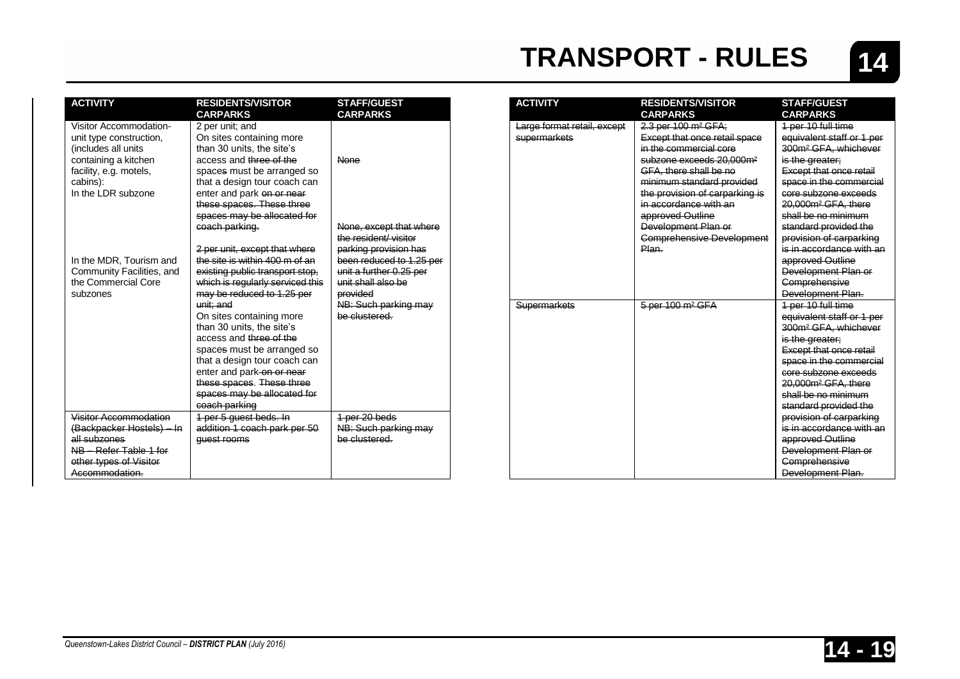

| <b>ACTIVITY</b>                                                                                                                                              | <b>RESIDENTS/VISITOR</b><br><b>CARPARKS</b>                                                                                                                                                                                                                                                                                                                                                                                                   | <b>STAFF/GUEST</b><br><b>CARPARKS</b>                                                                                                                   |
|--------------------------------------------------------------------------------------------------------------------------------------------------------------|-----------------------------------------------------------------------------------------------------------------------------------------------------------------------------------------------------------------------------------------------------------------------------------------------------------------------------------------------------------------------------------------------------------------------------------------------|---------------------------------------------------------------------------------------------------------------------------------------------------------|
| Visitor Accommodation-<br>unit type construction.<br>(includes all units<br>containing a kitchen<br>facility, e.g. motels,<br>cabins):<br>In the LDR subzone | 2 per unit; and<br>On sites containing more<br>than 30 units, the site's<br>access and three of the<br>spaces must be arranged so<br>that a design tour coach can<br>enter and park on or near<br>these spaces. These three                                                                                                                                                                                                                   | None                                                                                                                                                    |
|                                                                                                                                                              | spaces may be allocated for<br>coach parking.                                                                                                                                                                                                                                                                                                                                                                                                 | None, except that where<br>the resident/visitor                                                                                                         |
| In the MDR, Tourism and<br>Community Facilities, and<br>the Commercial Core<br>subzones                                                                      | 2 per unit, except that where<br>the site is within 400 m of an<br>existing public transport stop.<br>which is regularly serviced this<br>may be reduced to 1.25 per<br>unit: and<br>On sites containing more<br>than 30 units, the site's<br>access and three of the<br>spaces must be arranged so<br>that a design tour coach can<br>enter and park-on-or-near<br>these spaces. These three<br>spaces may be allocated for<br>coach parking | parking provision has<br>been reduced to 1.25 per<br>unit a further 0.25 per<br>unit shall also be<br>provided<br>NB: Such parking may<br>be clustered. |
| Visitor Accommodation<br>(Backpacker Hostels) - In                                                                                                           | 1 per 5 guest beds. In<br>addition 1 coach park per 50                                                                                                                                                                                                                                                                                                                                                                                        | 1 per 20 beds<br>NB: Such parking may                                                                                                                   |
| all subzones<br>NB - Refer Table 1 for<br>other types of Visitor<br>Accommodation.                                                                           | quest rooms                                                                                                                                                                                                                                                                                                                                                                                                                                   | he clustered                                                                                                                                            |

| <b>ACTIVITY</b>             | <b>RESIDENTS/VISITOR</b><br><b>CARPARKS</b> | <b>STAFF/GUEST</b><br><b>CARPARKS</b> |
|-----------------------------|---------------------------------------------|---------------------------------------|
| Large format retail, except | 2.3 per 100 m <sup>2</sup> GFA;             | 1 per 10 full time                    |
| supermarkets                | Except that once retail space               | equivalent staff or 1 per             |
|                             | in the commercial core                      | 300m <sup>2</sup> GFA, whichever      |
|                             | subzone exceeds 20.000m <sup>2</sup>        | is the greater;                       |
|                             | GFA, there shall be no                      | Except that once retail               |
|                             | minimum standard provided                   | space in the commercial               |
|                             | the provision of carparking is              | core subzone exceeds                  |
|                             | in accordance with an                       | 20.000m <sup>2</sup> GFA, there       |
|                             | approved Outline                            | shall be no minimum                   |
|                             | Development Plan or                         | standard provided the                 |
|                             | <b>Comprehensive Development</b>            | provision of carparking               |
|                             | Plan.                                       | is in accordance with an              |
|                             |                                             | approved Outline                      |
|                             |                                             | Development Plan or                   |
|                             |                                             | Comprehensive                         |
|                             |                                             | Development Plan.                     |
| <b>Supermarkets</b>         | 5 per 100 m <sup>2</sup> GFA                | 1 per 10 full time                    |
|                             |                                             | equivalent staff or 1 per             |
|                             |                                             | 300m <sup>2</sup> GFA, whichever      |
|                             |                                             | is the greater;                       |
|                             |                                             | Except that once retail               |
|                             |                                             | space in the commercial               |
|                             |                                             | core subzone exceeds                  |
|                             |                                             | 20.000m <sup>2</sup> GFA, there       |
|                             |                                             | shall be no minimum                   |
|                             |                                             | standard provided the                 |
|                             |                                             | provision of carparking               |
|                             |                                             | is in accordance with an              |
|                             |                                             | approved Outline                      |
|                             |                                             | Development Plan or                   |
|                             |                                             | Comprehensive                         |
|                             |                                             | Development Plan.                     |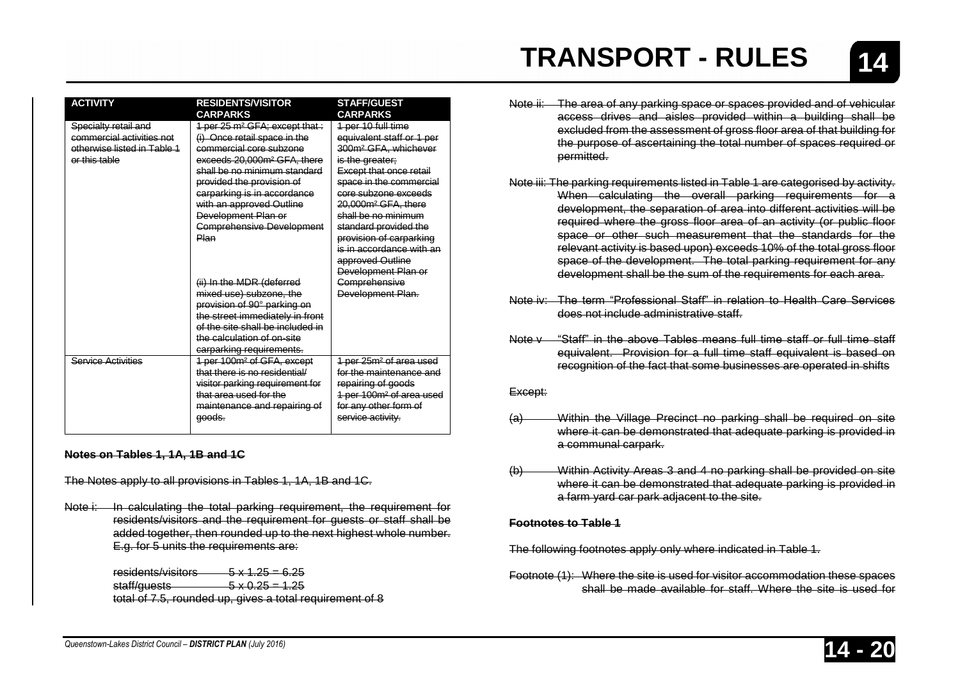| <b>ACTIVITY</b>             | <b>RESIDENTS/VISITOR</b><br><b>CARPARKS</b> | <b>STAFF/GUEST</b><br><b>CARPARKS</b>         |
|-----------------------------|---------------------------------------------|-----------------------------------------------|
| Specialty retail and        | 1 per 25 m <sup>2</sup> GFA: except that:   | <del>1 per 10 full time</del>                 |
| commercial activities not   | (i) Once retail space in the                | equivalent staff or 1 per                     |
| otherwise listed in Table 1 | commercial core subzone                     | 300m <sup>2</sup> GFA, whichever              |
| or this table               | exceeds 20,000m <sup>2</sup> GFA. there     | is the greater;                               |
|                             | shall be no minimum standard                | <b>Except that once retail</b>                |
|                             | provided the provision of                   | space in the commercial                       |
|                             | carparking is in accordance                 | core subzone exceeds                          |
|                             | with an approved Outline                    | <del>20.000m² GFA, there</del>                |
|                             | Development Plan or                         | shall be no minimum                           |
|                             | <b>Comprehensive Development</b>            | <del>standard provided the</del>              |
|                             | Plan                                        | provision of carparking                       |
|                             |                                             | is in accordance with an                      |
|                             |                                             | <del>approved Outline</del>                   |
|                             |                                             | Development Plan or                           |
|                             | (ii) In the MDR (deferred                   | Comprehensive                                 |
|                             | mixed use) subzone, the                     | Development Plan.                             |
|                             | provision of 90° parking on                 |                                               |
|                             | the street immediately in front             |                                               |
|                             | of the site shall be included in            |                                               |
|                             | the calculation of on-site                  |                                               |
|                             | carparking requirements.                    |                                               |
| Service Activities          | 1 per 100m <sup>2</sup> of GFA, except      | <del>1 per 25m<sup>2</sup> of area used</del> |
|                             | that there is no residential/               | for the maintenance and                       |
|                             | visitor parking requirement for             | repairing of goods                            |
|                             | that area used for the                      | 1 per 100m <sup>2</sup> of area used          |
|                             | maintenance and repairing of                | for any other form of                         |
|                             | <del>qoods.</del>                           | service activity.                             |
|                             |                                             |                                               |

#### **Notes on Tables 1, 1A, 1B and 1C**

The Notes apply to all provisions in Tables 1, 1A, 1B and 1C.

Note i: In calculating the total parking requirement, the requirement for residents/visitors and the requirement for guests or staff shall be added together, then rounded up to the next highest whole number. E.g. for 5 units the requirements are:

| residents/visitors       | $\frac{5 \times 1.25 = 6.25}{5}$                         |
|--------------------------|----------------------------------------------------------|
| <del>staff/guests_</del> | $\frac{5 \times 0.25}{20}$ = 1.25                        |
|                          | total of 7.5, rounded up, gives a total requirement of 8 |

- Note ii: The area of any parking space or spaces provided and of vehicular access drives and aisles provided within a building shall be excluded from the assessment of gross floor area of that building for the purpose of ascertaining the total number of spaces required or permitted.
- Note iii: The parking requirements listed in Table 1 are categorised by activity. When calculating the overall parking requirements for a development, the separation of area into different activities will be required where the gross floor area of an activity (or public floor space or other such measurement that the standards for the relevant activity is based upon) exceeds 10% of the total gross floor space of the development. The total parking requirement for any development shall be the sum of the requirements for each area.
- Note iv: The term "Professional Staff" in relation to Health Care Services does not include administrative staff.
- Note v "Staff" in the above Tables means full time staff or full time staff equivalent. Provision for a full time staff equivalent is based on recognition of the fact that some businesses are operated in shifts

#### Except:

- (a) Within the Village Precinct no parking shall be required on site where it can be demonstrated that adequate parking is provided in a communal carpark.
- (b) Within Activity Areas 3 and 4 no parking shall be provided on site where it can be demonstrated that adequate parking is provided in a farm yard car park adjacent to the site.

#### **Footnotes to Table 1**

The following footnotes apply only where indicated in Table 1.

Footnote (1): Where the site is used for visitor accommodation these spaces shall be made available for staff. Where the site is used for

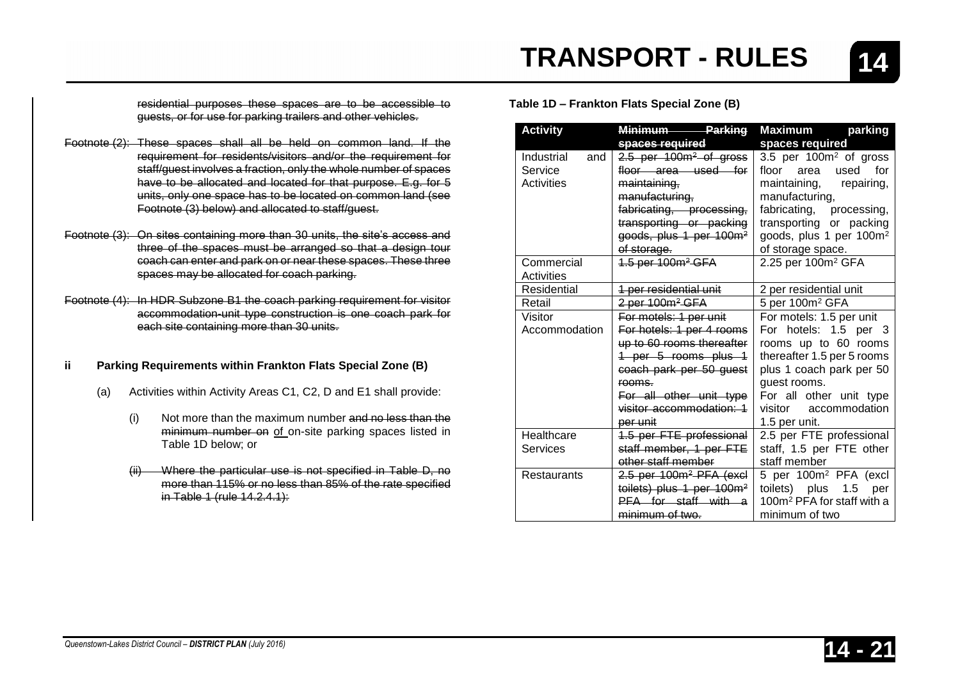residential purposes these spaces are to be accessible to guests, or for use for parking trailers and other vehicles.

- Footnote (2): These spaces shall all be held on common land. If the requirement for residents/visitors and/or the requirement for staff/guest involves a fraction, only the whole number of spaces have to be allocated and located for that purpose. E.g. for 5 units, only one space has to be located on common land (see Footnote (3) below) and allocated to staff/guest.
- Footnote (3): On sites containing more than 30 units, the site's access and three of the spaces must be arranged so that a design tour coach can enter and park on or near these spaces. These three spaces may be allocated for coach parking.
- Footnote (4): In HDR Subzone B1 the coach parking requirement for visitor accommodation-unit type construction is one coach park for each site containing more than 30 units.

#### **ii Parking Requirements within Frankton Flats Special Zone (B)**

- (a) Activities within Activity Areas C1, C2, D and E1 shall provide:
	- (i) Not more than the maximum number and no less than the minimum number on of on-site parking spaces listed in Table 1D below; or
	- Where the particular use is not specified in Table D, no more than 115% or no less than 85% of the rate specified in Table 1 (rule 14.2.4.1):

**Table 1D – Frankton Flats Special Zone (B)**

**TRANSPORT - RULES**

| <b>Activity</b>    | <b>Parking</b><br>Minimum             | Maximum<br>parking                     |
|--------------------|---------------------------------------|----------------------------------------|
|                    | spaces required                       | spaces required                        |
| Industrial<br>and  | 2.5 per 100m <sup>2</sup> of gross    | 3.5 per 100m <sup>2</sup> of gross     |
| Service            | floor area used for                   | floor area<br>for<br>used              |
| <b>Activities</b>  | maintaining,                          | maintaining, repairing,                |
|                    | manufacturing,                        | manufacturing,                         |
|                    | fabricating, processing,              | fabricating,<br>processing,            |
|                    | transporting or packing               | transporting or packing                |
|                    | goods, plus 1 per 100m <sup>2</sup>   | goods, plus 1 per 100m <sup>2</sup>    |
|                    | of storage.                           | of storage space.                      |
| Commercial         | 1.5 per 100m <sup>2</sup> GFA         | 2.25 per 100m <sup>2</sup> GFA         |
| Activities         |                                       |                                        |
| Residential        | 1 per residential unit                | 2 per residential unit                 |
| Retail             | 2 per 100m <sup>2</sup> GFA           | 5 per 100m <sup>2</sup> GFA            |
| Visitor            | For motels: 1 per unit                | For motels: 1.5 per unit               |
| Accommodation      | For hotels: 1 per 4 rooms             | For hotels: 1.5 per 3                  |
|                    | up to 60 rooms thereafter             | rooms up to 60 rooms                   |
|                    | 1 per 5 rooms plus 1                  | thereafter 1.5 per 5 rooms             |
|                    | coach park per 50 guest               | plus 1 coach park per 50               |
|                    | rooms.                                | quest rooms.                           |
|                    | For all other unit type               | For all other unit type                |
|                    | visitor accommodation: 1              | visitor accommodation                  |
|                    | per unit                              | 1.5 per unit.                          |
| Healthcare         | 1.5 per FTE professional              | 2.5 per FTE professional               |
| Services           | staff member, 1 per FTE               | staff, 1.5 per FTE other               |
|                    | other staff member                    | staff member                           |
| <b>Restaurants</b> | 2.5 per 100m <sup>2</sup> PFA (excl   | 5 per 100m <sup>2</sup> PFA (excl      |
|                    | toilets) plus 1 per 100m <sup>2</sup> | toilets) plus 1.5<br>per               |
|                    | PFA for staff with a                  | 100m <sup>2</sup> PFA for staff with a |
|                    | minimum of two.                       | minimum of two                         |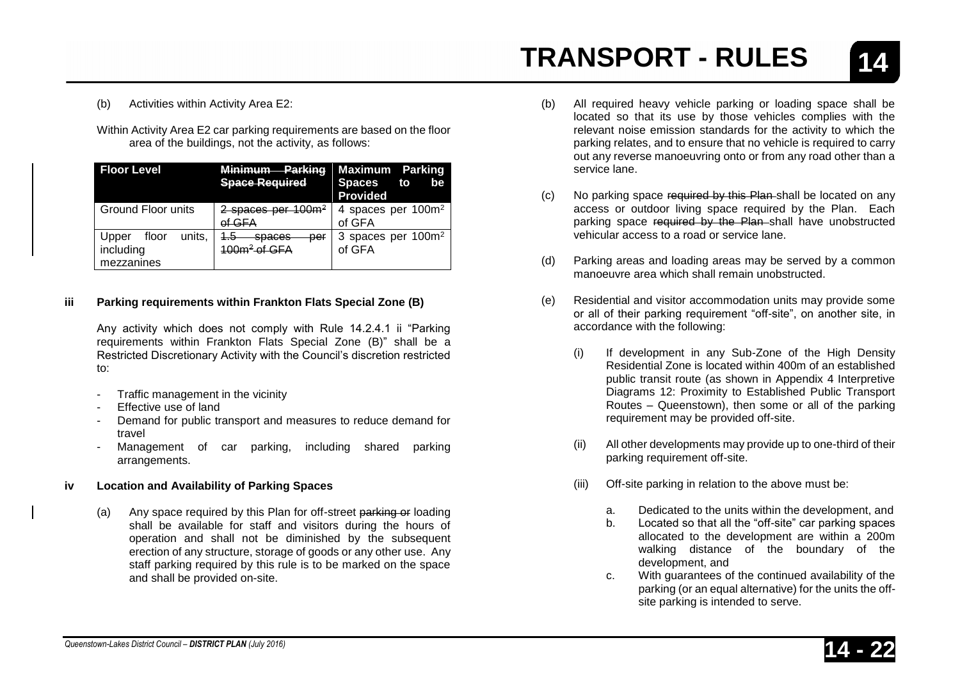**14**

(b) Activities within Activity Area E2:

Within Activity Area E2 car parking requirements are based on the floor area of the buildings, not the activity, as follows:

| <b>Floor Level</b>                                  | <b>Minimum</b><br>Parking<br><b>Space Required</b>             | <b>Maximum Parking</b><br><b>Spaces</b><br>to<br>be<br><b>Provided</b> |
|-----------------------------------------------------|----------------------------------------------------------------|------------------------------------------------------------------------|
| Ground Floor units                                  | $2$ spaces per 100 $m2$<br>of GFA                              | 4 spaces per 100m <sup>2</sup><br>of GFA                               |
| floor<br>units,<br>Upper<br>including<br>mezzanines | per<br>cnacac<br><del>əpaccə</del><br>100m <sup>2</sup> of GFA | 3 spaces per 100m <sup>2</sup><br>of GFA                               |

#### **iii Parking requirements within Frankton Flats Special Zone (B)**

Any activity which does not comply with Rule 14.2.4.1 ii "Parking requirements within Frankton Flats Special Zone (B)" shall be a Restricted Discretionary Activity with the Council's discretion restricted to:

- Traffic management in the vicinity
- Effective use of land
- Demand for public transport and measures to reduce demand for travel
- Management of car parking, including shared parking arrangements.

#### **iv Location and Availability of Parking Spaces**

(a) Any space required by this Plan for off-street parking or loading shall be available for staff and visitors during the hours of operation and shall not be diminished by the subsequent erection of any structure, storage of goods or any other use. Any staff parking required by this rule is to be marked on the space and shall be provided on-site.

- (b) All required heavy vehicle parking or loading space shall be located so that its use by those vehicles complies with the relevant noise emission standards for the activity to which the parking relates, and to ensure that no vehicle is required to carry out any reverse manoeuvring onto or from any road other than a service lane.
- (c) No parking space required by this Plan shall be located on any access or outdoor living space required by the Plan. Each parking space required by the Plan shall have unobstructed vehicular access to a road or service lane.
- (d) Parking areas and loading areas may be served by a common manoeuvre area which shall remain unobstructed.
- (e) Residential and visitor accommodation units may provide some or all of their parking requirement "off-site", on another site, in accordance with the following:
	- (i) If development in any Sub-Zone of the High Density Residential Zone is located within 400m of an established public transit route (as shown in Appendix 4 Interpretive Diagrams 12: Proximity to Established Public Transport Routes – Queenstown), then some or all of the parking requirement may be provided off-site.
	- (ii) All other developments may provide up to one-third of their parking requirement off-site.
	- (iii) Off-site parking in relation to the above must be:
		- a. Dedicated to the units within the development, and
		- b. Located so that all the "off-site" car parking spaces allocated to the development are within a 200m walking distance of the boundary of the development, and
		- c. With guarantees of the continued availability of the parking (or an equal alternative) for the units the offsite parking is intended to serve.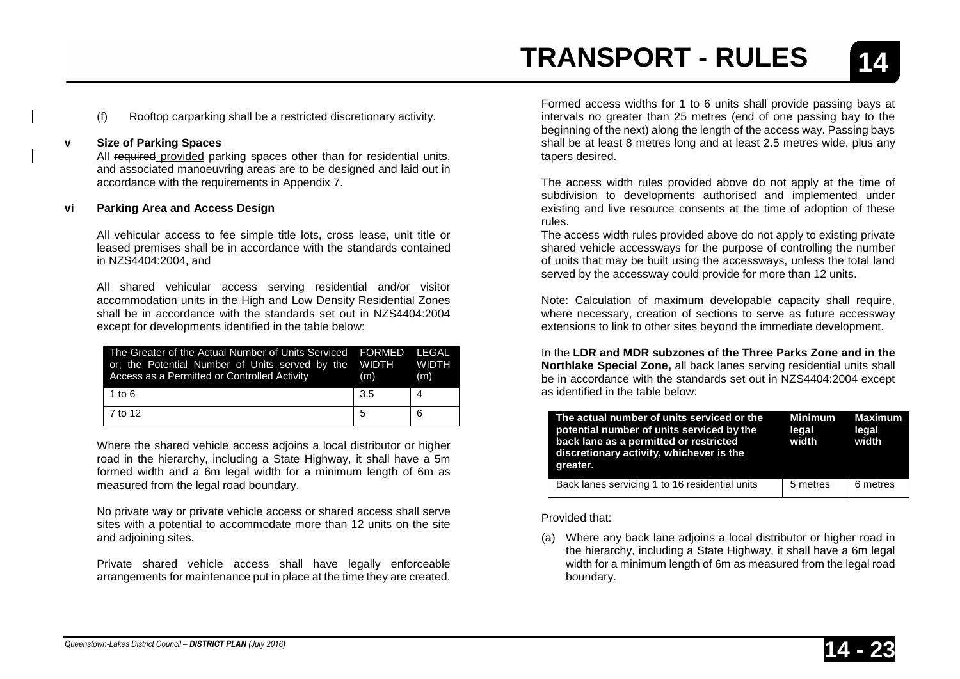(f) Rooftop carparking shall be a restricted discretionary activity.

#### **v Size of Parking Spaces**

All required provided parking spaces other than for residential units, and associated manoeuvring areas are to be designed and laid out in accordance with the requirements in Appendix 7.

#### **vi Parking Area and Access Design**

All vehicular access to fee simple title lots, cross lease, unit title or leased premises shall be in accordance with the standards contained in NZS4404:2004, and

All shared vehicular access serving residential and/or visitor accommodation units in the High and Low Density Residential Zones shall be in accordance with the standards set out in NZS4404:2004 except for developments identified in the table below:

| The Greater of the Actual Number of Units Serviced FORMED LEGAL<br>or; the Potential Number of Units served by the WIDTH WIDTH<br>Access as a Permitted or Controlled Activity | (m) | (m) |
|--------------------------------------------------------------------------------------------------------------------------------------------------------------------------------|-----|-----|
| 1 to $6$                                                                                                                                                                       | 3.5 | 4   |
| 7 to 12                                                                                                                                                                        | 5   | 6   |

Where the shared vehicle access adjoins a local distributor or higher road in the hierarchy, including a State Highway, it shall have a 5m formed width and a 6m legal width for a minimum length of 6m as measured from the legal road boundary.

No private way or private vehicle access or shared access shall serve sites with a potential to accommodate more than 12 units on the site and adjoining sites.

Private shared vehicle access shall have legally enforceable arrangements for maintenance put in place at the time they are created.

Formed access widths for 1 to 6 units shall provide passing bays at intervals no greater than 25 metres (end of one passing bay to the beginning of the next) along the length of the access way. Passing bays shall be at least 8 metres long and at least 2.5 metres wide, plus any tapers desired.

The access width rules provided above do not apply at the time of subdivision to developments authorised and implemented under existing and live resource consents at the time of adoption of these rules.

The access width rules provided above do not apply to existing private shared vehicle accessways for the purpose of controlling the number of units that may be built using the accessways, unless the total land served by the accessway could provide for more than 12 units.

Note: Calculation of maximum developable capacity shall require, where necessary, creation of sections to serve as future accessway extensions to link to other sites beyond the immediate development.

In the **LDR and MDR subzones of the Three Parks Zone and in the Northlake Special Zone,** all back lanes serving residential units shall be in accordance with the standards set out in NZS4404:2004 except as identified in the table below:

| The actual number of units serviced or the<br>potential number of units serviced by the<br>back lane as a permitted or restricted<br>discretionary activity, whichever is the<br>greater. | <b>Minimum</b><br>legal<br>width | Maximum<br>legal<br>width |
|-------------------------------------------------------------------------------------------------------------------------------------------------------------------------------------------|----------------------------------|---------------------------|
| Back lanes servicing 1 to 16 residential units                                                                                                                                            | 5 metres                         | 6 metres                  |

Provided that:

(a) Where any back lane adjoins a local distributor or higher road in the hierarchy, including a State Highway, it shall have a 6m legal width for a minimum length of 6m as measured from the legal road boundary.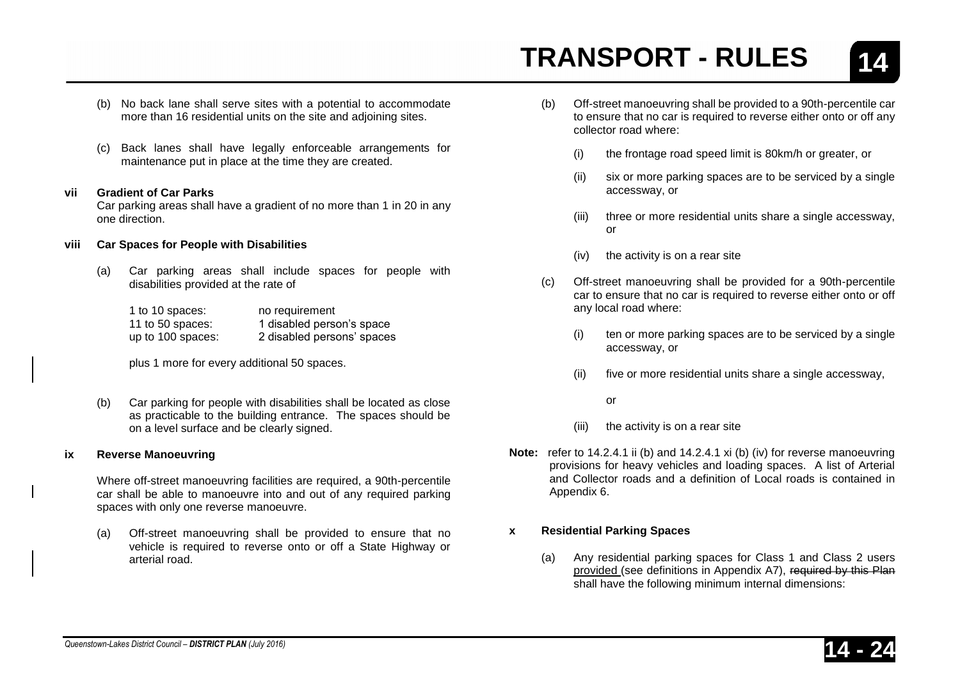**14**

- (b) No back lane shall serve sites with a potential to accommodate more than 16 residential units on the site and adjoining sites.
- (c) Back lanes shall have legally enforceable arrangements for maintenance put in place at the time they are created.

#### **vii Gradient of Car Parks**

Car parking areas shall have a gradient of no more than 1 in 20 in any one direction.

#### **viii Car Spaces for People with Disabilities**

(a) Car parking areas shall include spaces for people with disabilities provided at the rate of

| 1 to 10 spaces:   | no requirement             |
|-------------------|----------------------------|
| 11 to 50 spaces:  | 1 disabled person's space  |
| up to 100 spaces: | 2 disabled persons' spaces |

plus 1 more for every additional 50 spaces.

(b) Car parking for people with disabilities shall be located as close as practicable to the building entrance. The spaces should be on a level surface and be clearly signed.

#### **ix Reverse Manoeuvring**

Where off-street manoeuvring facilities are required, a 90th-percentile car shall be able to manoeuvre into and out of any required parking spaces with only one reverse manoeuvre.

(a) Off-street manoeuvring shall be provided to ensure that no vehicle is required to reverse onto or off a State Highway or arterial road.

- (b) Off-street manoeuvring shall be provided to a 90th-percentile car to ensure that no car is required to reverse either onto or off any collector road where:
	- (i) the frontage road speed limit is 80km/h or greater, or
	- (ii) six or more parking spaces are to be serviced by a single accessway, or
	- (iii) three or more residential units share a single accessway, or
	- (iv) the activity is on a rear site
- (c) Off-street manoeuvring shall be provided for a 90th-percentile car to ensure that no car is required to reverse either onto or off any local road where:
	- (i) ten or more parking spaces are to be serviced by a single accessway, or
	- (ii) five or more residential units share a single accessway,
		- or
	- (iii) the activity is on a rear site
- **Note:** refer to 14.2.4.1 ii (b) and 14.2.4.1 xi (b) (iv) for reverse manoeuvring provisions for heavy vehicles and loading spaces. A list of Arterial and Collector roads and a definition of Local roads is contained in Appendix 6.

#### **x Residential Parking Spaces**

(a) Any residential parking spaces for Class 1 and Class 2 users provided (see definitions in Appendix A7), required by this Plan shall have the following minimum internal dimensions: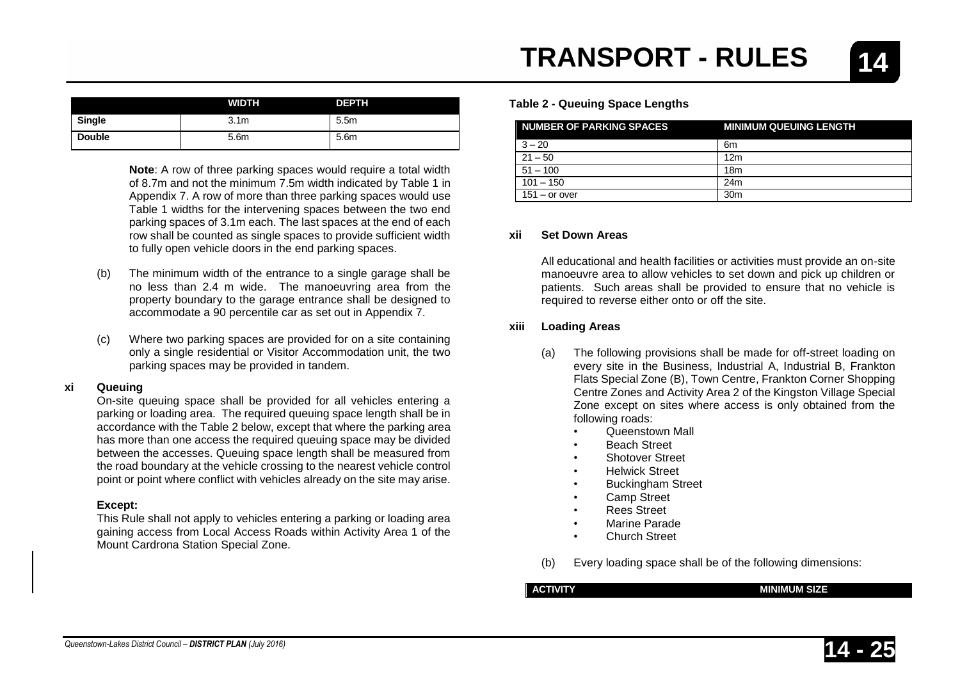|              | <b>TRANSPORT - RULES</b>               |  |  |
|--------------|----------------------------------------|--|--|
| <b>DEPTH</b> | <b>Table 2 - Queuing Space Lengths</b> |  |  |

| <b>NUMBER OF PARKING SPACES</b> | <b>MINIMUM QUEUING LENGTH</b> |
|---------------------------------|-------------------------------|
| $3 - 20$                        | 6m                            |
| $21 - 50$                       | 12 <sub>m</sub>               |
| $51 - 100$                      | 18 <sub>m</sub>               |
| $101 - 150$                     | 24m                           |
| $151 -$ or over                 | 30 <sub>m</sub>               |

#### **xii Set Down Areas**

All educational and health facilities or activities must provide an on-site manoeuvre area to allow vehicles to set down and pick up children or patients. Such areas shall be provided to ensure that no vehicle is required to reverse either onto or off the site.

#### **xiii Loading Areas**

- (a) The following provisions shall be made for off-street loading on every site in the Business, Industrial A, Industrial B, Frankton Flats Special Zone (B), Town Centre, Frankton Corner Shopping Centre Zones and Activity Area 2 of the Kingston Village Special Zone except on sites where access is only obtained from the following roads:
	- Queenstown Mall
	- Beach Street
	- Shotover Street
	- Helwick Street
	- Buckingham Street
	- Camp Street
	- Rees Street
	- Marine Parade
	- Church Street
- (b) Every loading space shall be of the following dimensions:

#### **ACTIVITY MINIMUM SIZE**

### parking spaces may be provided in tandem.

#### **xi Queuing**

On-site queuing space shall be provided for all vehicles entering a parking or loading area. The required queuing space length shall be in accordance with the Table 2 below, except that where the parking area has more than one access the required queuing space may be divided between the accesses. Queuing space length shall be measured from the road boundary at the vehicle crossing to the nearest vehicle control point or point where conflict with vehicles already on the site may arise.

**WIDTH** 

**Note:** A row of three parking spaces would require a total width of 8.7m and not the minimum 7.5m width indicated by Table 1 in Appendix 7. A row of more than three parking spaces would use Table 1 widths for the intervening spaces between the two end parking spaces of 3.1m each. The last spaces at the end of each row shall be counted as single spaces to provide sufficient width

to fully open vehicle doors in the end parking spaces.

(b) The minimum width of the entrance to a single garage shall be no less than 2.4 m wide. The manoeuvring area from the property boundary to the garage entrance shall be designed to accommodate a 90 percentile car as set out in Appendix 7.

(c) Where two parking spaces are provided for on a site containing only a single residential or Visitor Accommodation unit, the two

**Single** 1 3.1m 3.1m 5.5m **Double 1** 5.6m **5.6m** 5.6m

#### **Except:**

This Rule shall not apply to vehicles entering a parking or loading area gaining access from Local Access Roads within Activity Area 1 of the Mount Cardrona Station Special Zone.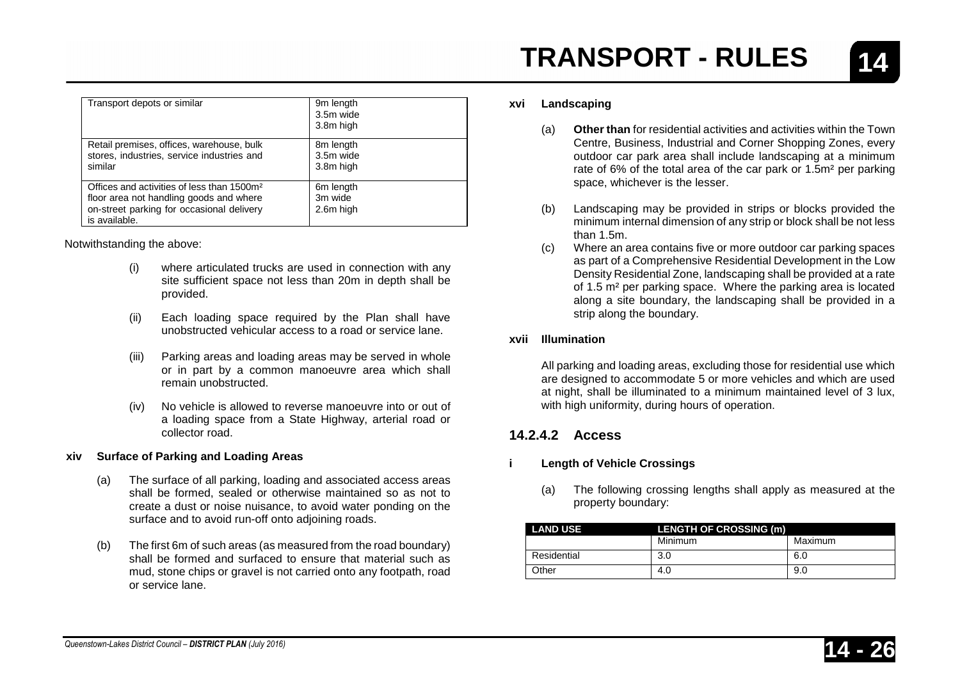| Transport depots or similar                                                                                                                                     | 9m length<br>3.5m wide<br>3.8m high           |
|-----------------------------------------------------------------------------------------------------------------------------------------------------------------|-----------------------------------------------|
| Retail premises, offices, warehouse, bulk<br>stores, industries, service industries and<br>similar                                                              | 8m length<br>3.5m wide<br>3.8m high           |
| Offices and activities of less than 1500m <sup>2</sup><br>floor area not handling goods and where<br>on-street parking for occasional delivery<br>is available. | 6 <sub>m</sub> length<br>3m wide<br>2.6m high |

Notwithstanding the above:

- (i) where articulated trucks are used in connection with any site sufficient space not less than 20m in depth shall be provided.
- (ii) Each loading space required by the Plan shall have unobstructed vehicular access to a road or service lane.
- (iii) Parking areas and loading areas may be served in whole or in part by a common manoeuvre area which shall remain unobstructed.
- (iv) No vehicle is allowed to reverse manoeuvre into or out of a loading space from a State Highway, arterial road or collector road.

#### **xiv Surface of Parking and Loading Areas**

- (a) The surface of all parking, loading and associated access areas shall be formed, sealed or otherwise maintained so as not to create a dust or noise nuisance, to avoid water ponding on the surface and to avoid run-off onto adjoining roads.
- (b) The first 6m of such areas (as measured from the road boundary) shall be formed and surfaced to ensure that material such as mud, stone chips or gravel is not carried onto any footpath, road or service lane.

**14**

#### **xvi Landscaping**

- (a) **Other than** for residential activities and activities within the Town Centre, Business, Industrial and Corner Shopping Zones, every outdoor car park area shall include landscaping at a minimum rate of 6% of the total area of the car park or 1.5m² per parking space, whichever is the lesser.
- (b) Landscaping may be provided in strips or blocks provided the minimum internal dimension of any strip or block shall be not less than 1.5m.
- (c) Where an area contains five or more outdoor car parking spaces as part of a Comprehensive Residential Development in the Low Density Residential Zone, landscaping shall be provided at a rate of 1.5 m² per parking space. Where the parking area is located along a site boundary, the landscaping shall be provided in a strip along the boundary.

#### **xvii Illumination**

All parking and loading areas, excluding those for residential use which are designed to accommodate 5 or more vehicles and which are used at night, shall be illuminated to a minimum maintained level of 3 lux, with high uniformity, during hours of operation.

#### **14.2.4.2 Access**

#### **i Length of Vehicle Crossings**

(a) The following crossing lengths shall apply as measured at the property boundary:

| <b>LAND USE</b> | <b>LENGTH OF CROSSING (m)</b> |         |
|-----------------|-------------------------------|---------|
|                 | Minimum                       | Maximum |
| Residential     | 3.0                           | 6.0     |
| Other           | 4.0                           | 9.0     |

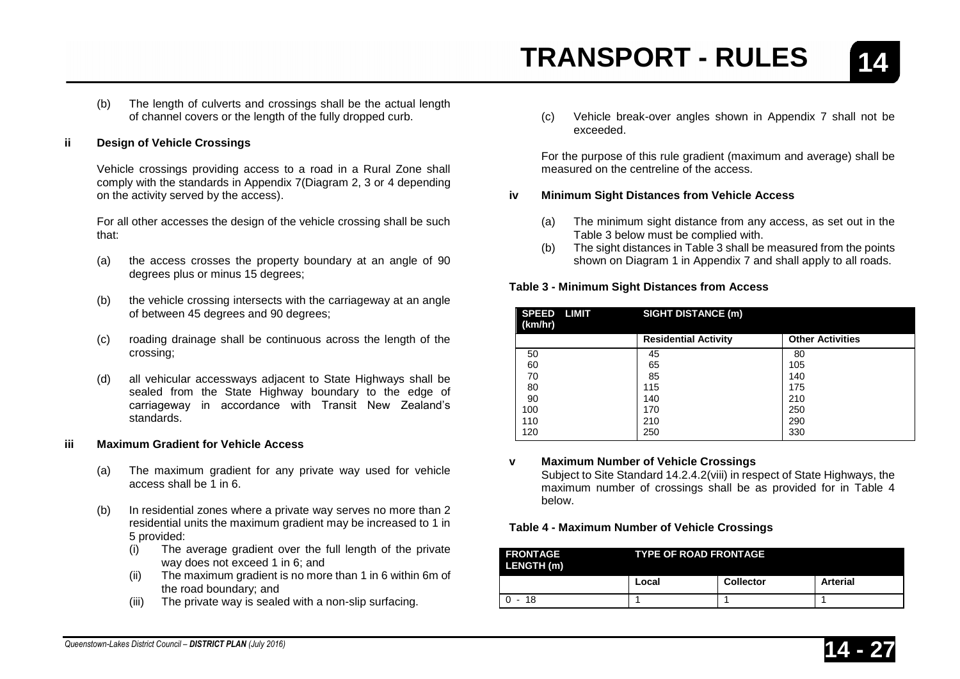(b) The length of culverts and crossings shall be the actual length of channel covers or the length of the fully dropped curb.

#### **ii Design of Vehicle Crossings**

Vehicle crossings providing access to a road in a Rural Zone shall comply with the standards in Appendix 7(Diagram 2, 3 or 4 depending on the activity served by the access).

For all other accesses the design of the vehicle crossing shall be such that:

- (a) the access crosses the property boundary at an angle of 90 degrees plus or minus 15 degrees;
- (b) the vehicle crossing intersects with the carriageway at an angle of between 45 degrees and 90 degrees;
- (c) roading drainage shall be continuous across the length of the crossing;
- (d) all vehicular accessways adjacent to State Highways shall be sealed from the State Highway boundary to the edge of carriageway in accordance with Transit New Zealand's standards.

#### **iii Maximum Gradient for Vehicle Access**

- (a) The maximum gradient for any private way used for vehicle access shall be 1 in 6.
- (b) In residential zones where a private way serves no more than 2 residential units the maximum gradient may be increased to 1 in 5 provided:
	- (i) The average gradient over the full length of the private way does not exceed 1 in 6; and
	- (ii) The maximum gradient is no more than 1 in 6 within 6m of the road boundary; and
	- (iii) The private way is sealed with a non-slip surfacing.

(c) Vehicle break-over angles shown in Appendix 7 shall not be exceeded.

For the purpose of this rule gradient (maximum and average) shall be measured on the centreline of the access.

#### **iv Minimum Sight Distances from Vehicle Access**

- (a) The minimum sight distance from any access, as set out in the Table 3 below must be complied with.
- (b) The sight distances in Table 3 shall be measured from the points shown on Diagram 1 in Appendix 7 and shall apply to all roads.

#### **Table 3 - Minimum Sight Distances from Access**

| <b>SPEED</b><br>LIMIT<br>(km/hr) | <b>SIGHT DISTANCE (m)</b>   |                         |
|----------------------------------|-----------------------------|-------------------------|
|                                  | <b>Residential Activity</b> | <b>Other Activities</b> |
| 50                               | 45                          | 80                      |
| 60                               | 65                          | 105                     |
| 70                               | 85                          | 140                     |
| 80                               | 115                         | 175                     |
| 90                               | 140                         | 210                     |
| 100                              | 170                         | 250                     |
| 110                              | 210                         | 290                     |
| 120                              | 250                         | 330                     |

#### **v Maximum Number of Vehicle Crossings**

Subject to Site Standard 14.2.4.2(viii) in respect of State Highways, the maximum number of crossings shall be as provided for in Table 4 below.

#### **Table 4 - Maximum Number of Vehicle Crossings**

| <b>FRONTAGE</b><br>LENGTH (m) | <b>TYPE OF ROAD FRONTAGE</b> |           |          |
|-------------------------------|------------------------------|-----------|----------|
|                               | Local                        | Collector | Arterial |
| $0 - 18$                      |                              |           |          |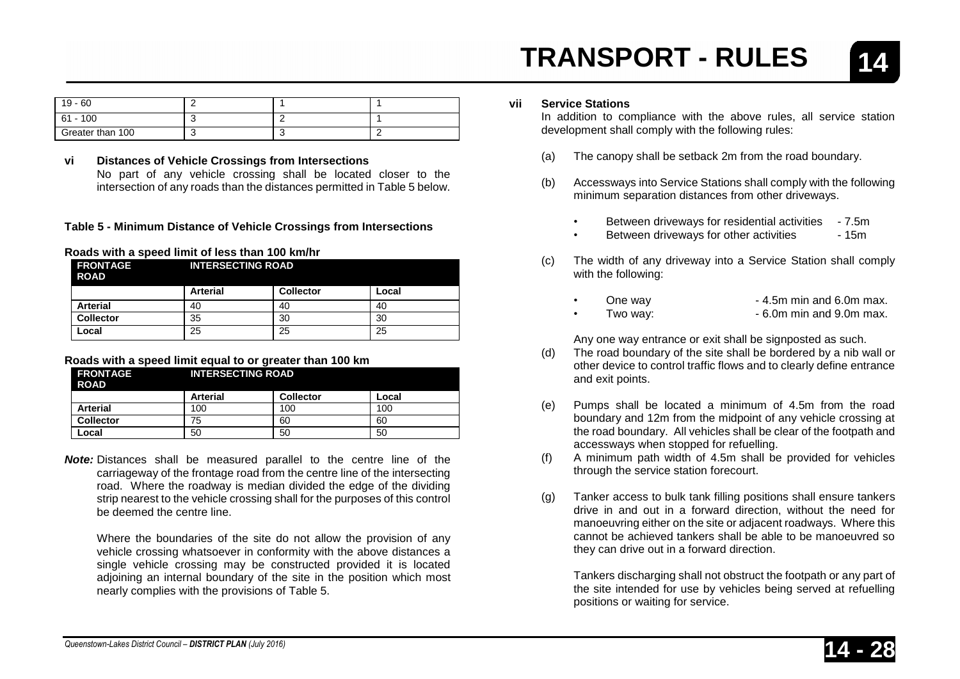**vii Service Stations**

- (a) The canopy shall be setback 2m from the road boundary.
- (b) Accessways into Service Stations shall comply with the following minimum separation distances from other driveways.
	- Between driveways for residential activities 7.5m
	- Between driveways for other activities
- (c) The width of any driveway into a Service Station shall comply with the following:
	- One way **-4.5m min and 6.0m max.**
	- $\frac{1}{2}$  Two way:  $\frac{1}{2}$  Two way:  $\frac{1}{2}$  Two way.

Any one way entrance or exit shall be signposted as such.

- (d) The road boundary of the site shall be bordered by a nib wall or other device to control traffic flows and to clearly define entrance and exit points.
- (e) Pumps shall be located a minimum of 4.5m from the road boundary and 12m from the midpoint of any vehicle crossing at the road boundary. All vehicles shall be clear of the footpath and accessways when stopped for refuelling.
- (f) A minimum path width of 4.5m shall be provided for vehicles through the service station forecourt.
- (g) Tanker access to bulk tank filling positions shall ensure tankers drive in and out in a forward direction, without the need for manoeuvring either on the site or adjacent roadways. Where this cannot be achieved tankers shall be able to be manoeuvred so they can drive out in a forward direction.

Tankers discharging shall not obstruct the footpath or any part of the site intended for use by vehicles being served at refuelling positions or waiting for service.

| <b>Arterial</b>  | 40       | 40 | 40 |
|------------------|----------|----|----|
| <b>Collector</b> | 35       | 30 | 30 |
| Local            | OF<br>دے | 25 | 25 |

#### **Roads with a speed limit equal to or greater than 100 km**

| <b>I FRONTAGE</b><br><b>ROAD</b> | <b>INTERSECTING ROAD</b> |                  |       |
|----------------------------------|--------------------------|------------------|-------|
|                                  | <b>Arterial</b>          | <b>Collector</b> | Local |
| <b>Arterial</b>                  | 100                      | 100              | 100   |
| <b>Collector</b>                 | 75                       | 60               | 60    |
| Local                            | 50                       | 50               | 50    |

*Note:* Distances shall be measured parallel to the centre line of the carriageway of the frontage road from the centre line of the intersecting road. Where the roadway is median divided the edge of the dividing strip nearest to the vehicle crossing shall for the purposes of this control be deemed the centre line.

Where the boundaries of the site do not allow the provision of any vehicle crossing whatsoever in conformity with the above distances a single vehicle crossing may be constructed provided it is located adjoining an internal boundary of the site in the position which most nearly complies with the provisions of Table 5.

# **TRANSPORT - RULES**

| 19 - 60          |  |  |
|------------------|--|--|
| 61 - 100         |  |  |
| Greater than 100 |  |  |

**Arterial Collector Local**

**vi Distances of Vehicle Crossings from Intersections** No part of any vehicle crossing shall be located closer to the intersection of any roads than the distances permitted in Table 5 below.

#### **Table 5 - Minimum Distance of Vehicle Crossings from Intersections**

#### **Roads with a speed limit of less than 100 km/hr FRONTAGE INTERSECTING ROAD**

**ROAD**



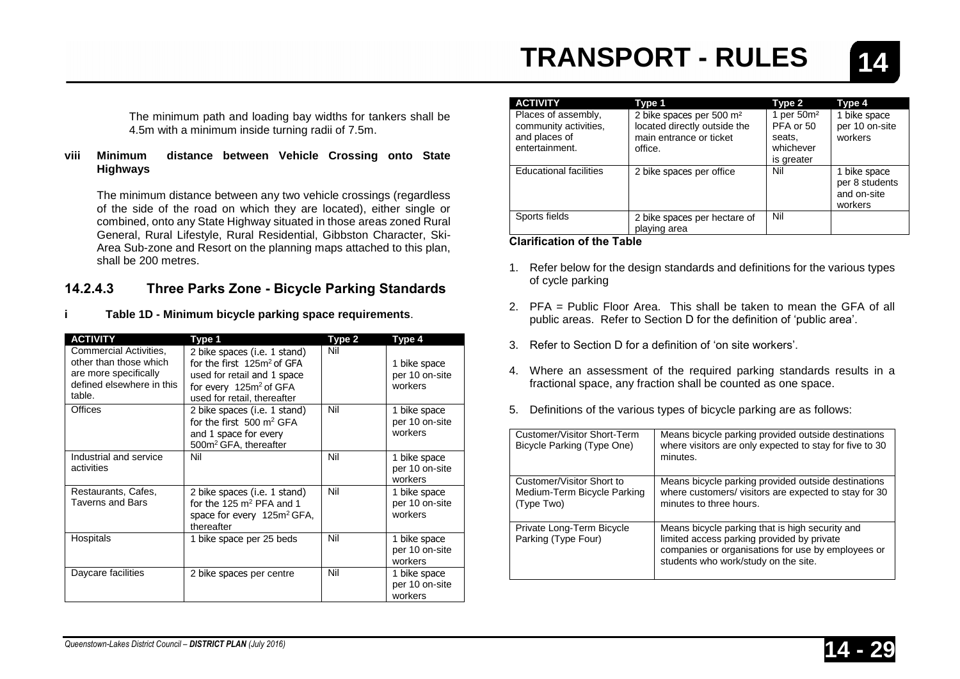The minimum path and loading bay widths for tankers shall be 4.5m with a minimum inside turning radii of 7.5m.

#### **viii Minimum distance between Vehicle Crossing onto State Highways**

The minimum distance between any two vehicle crossings (regardless of the side of the road on which they are located), either single or combined, onto any State Highway situated in those areas zoned Rural General, Rural Lifestyle, Rural Residential, Gibbston Character, Ski-Area Sub-zone and Resort on the planning maps attached to this plan, shall be 200 metres.

#### **14.2.4.3 Three Parks Zone - Bicycle Parking Standards**

**i Table 1D - Minimum bicycle parking space requirements**.

| <b>ACTIVITY</b>                                                                                                  | Type 1                                                                                                                                                            | Type 2 | Type 4                                    |
|------------------------------------------------------------------------------------------------------------------|-------------------------------------------------------------------------------------------------------------------------------------------------------------------|--------|-------------------------------------------|
| Commercial Activities,<br>other than those which<br>are more specifically<br>defined elsewhere in this<br>table. | 2 bike spaces (i.e. 1 stand)<br>for the first $125m^2$ of GFA<br>used for retail and 1 space<br>for every 125m <sup>2</sup> of GFA<br>used for retail, thereafter | Nil    | 1 bike space<br>per 10 on-site<br>workers |
| Offices                                                                                                          | 2 bike spaces (i.e. 1 stand)<br>for the first $500 \text{ m}^2$ GFA<br>and 1 space for every<br>500m <sup>2</sup> GFA, thereafter                                 | Nil    | 1 bike space<br>per 10 on-site<br>workers |
| Industrial and service<br>activities                                                                             | Nil                                                                                                                                                               | Nil    | 1 bike space<br>per 10 on-site<br>workers |
| Restaurants, Cafes,<br><b>Taverns and Bars</b>                                                                   | 2 bike spaces (i.e. 1 stand)<br>for the 125 $m2$ PFA and 1<br>space for every 125m <sup>2</sup> GFA,<br>thereafter                                                | Nil    | 1 bike space<br>per 10 on-site<br>workers |
| Hospitals                                                                                                        | 1 bike space per 25 beds                                                                                                                                          | Nil    | 1 bike space<br>per 10 on-site<br>workers |
| Daycare facilities                                                                                               | 2 bike spaces per centre                                                                                                                                          | Nil    | 1 bike space<br>per 10 on-site<br>workers |

| <b>ACTIVITY</b>                                                                 | Type 1                                                                                                     | Type 2                                                                   | Type 4                                                   |
|---------------------------------------------------------------------------------|------------------------------------------------------------------------------------------------------------|--------------------------------------------------------------------------|----------------------------------------------------------|
| Places of assembly,<br>community activities.<br>and places of<br>entertainment. | 2 bike spaces per 500 m <sup>2</sup><br>located directly outside the<br>main entrance or ticket<br>office. | 1 per 50m <sup>2</sup><br>PFA or 50<br>seats,<br>whichever<br>is greater | 1 bike space<br>per 10 on-site<br>workers                |
| <b>Educational facilities</b>                                                   | 2 bike spaces per office                                                                                   | Nil                                                                      | 1 bike space<br>per 8 students<br>and on-site<br>workers |
| Sports fields                                                                   | 2 bike spaces per hectare of<br>playing area                                                               | Nil                                                                      |                                                          |

#### **Clarification of the Table**

- 1. Refer below for the design standards and definitions for the various types of cycle parking
- 2. PFA = Public Floor Area. This shall be taken to mean the GFA of all public areas. Refer to Section D for the definition of 'public area'.
- 3. Refer to Section D for a definition of 'on site workers'.
- 4. Where an assessment of the required parking standards results in a fractional space, any fraction shall be counted as one space.
- 5. Definitions of the various types of bicycle parking are as follows:

| Customer/Visitor Short-Term<br>Bicycle Parking (Type One)              | Means bicycle parking provided outside destinations<br>where visitors are only expected to stay for five to 30<br>minutes.                                                                  |
|------------------------------------------------------------------------|---------------------------------------------------------------------------------------------------------------------------------------------------------------------------------------------|
| Customer/Visitor Short to<br>Medium-Term Bicycle Parking<br>(Type Two) | Means bicycle parking provided outside destinations<br>where customers/ visitors are expected to stay for 30<br>minutes to three hours.                                                     |
| Private Long-Term Bicycle<br>Parking (Type Four)                       | Means bicycle parking that is high security and<br>limited access parking provided by private<br>companies or organisations for use by employees or<br>students who work/study on the site. |

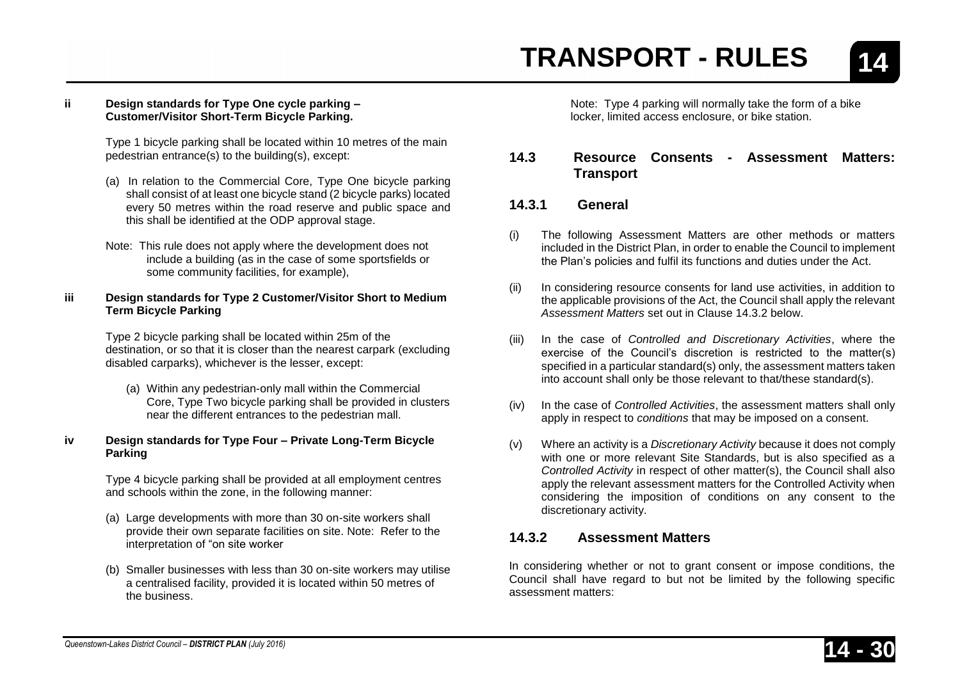#### **ii Design standards for Type One cycle parking – Customer/Visitor Short-Term Bicycle Parking.**

Type 1 bicycle parking shall be located within 10 metres of the main pedestrian entrance(s) to the building(s), except:

- (a) In relation to the Commercial Core, Type One bicycle parking shall consist of at least one bicycle stand (2 bicycle parks) located every 50 metres within the road reserve and public space and this shall be identified at the ODP approval stage.
- Note: This rule does not apply where the development does not include a building (as in the case of some sportsfields or some community facilities, for example),

#### **iii Design standards for Type 2 Customer/Visitor Short to Medium Term Bicycle Parking**

Type 2 bicycle parking shall be located within 25m of the destination, or so that it is closer than the nearest carpark (excluding disabled carparks), whichever is the lesser, except:

(a) Within any pedestrian-only mall within the Commercial Core, Type Two bicycle parking shall be provided in clusters near the different entrances to the pedestrian mall.

#### **iv Design standards for Type Four – Private Long-Term Bicycle Parking**

Type 4 bicycle parking shall be provided at all employment centres and schools within the zone, in the following manner:

- (a) Large developments with more than 30 on-site workers shall provide their own separate facilities on site. Note: Refer to the interpretation of "on site worker
- (b) Smaller businesses with less than 30 on-site workers may utilise a centralised facility, provided it is located within 50 metres of the business.

Note: Type 4 parking will normally take the form of a bike locker, limited access enclosure, or bike station.

#### **14.3 Resource Consents - Assessment Matters: Transport**

#### **14.3.1 General**

- (i) The following Assessment Matters are other methods or matters included in the District Plan, in order to enable the Council to implement the Plan's policies and fulfil its functions and duties under the Act.
- (ii) In considering resource consents for land use activities, in addition to the applicable provisions of the Act, the Council shall apply the relevant *Assessment Matters* set out in Clause 14.3.2 below.
- (iii) In the case of *Controlled and Discretionary Activities*, where the exercise of the Council's discretion is restricted to the matter(s) specified in a particular standard(s) only, the assessment matters taken into account shall only be those relevant to that/these standard(s).
- (iv) In the case of *Controlled Activities*, the assessment matters shall only apply in respect to *conditions* that may be imposed on a consent.
- (v) Where an activity is a *Discretionary Activity* because it does not comply with one or more relevant Site Standards, but is also specified as a *Controlled Activity* in respect of other matter(s), the Council shall also apply the relevant assessment matters for the Controlled Activity when considering the imposition of conditions on any consent to the discretionary activity.

#### **14.3.2 Assessment Matters**

In considering whether or not to grant consent or impose conditions, the Council shall have regard to but not be limited by the following specific assessment matters:

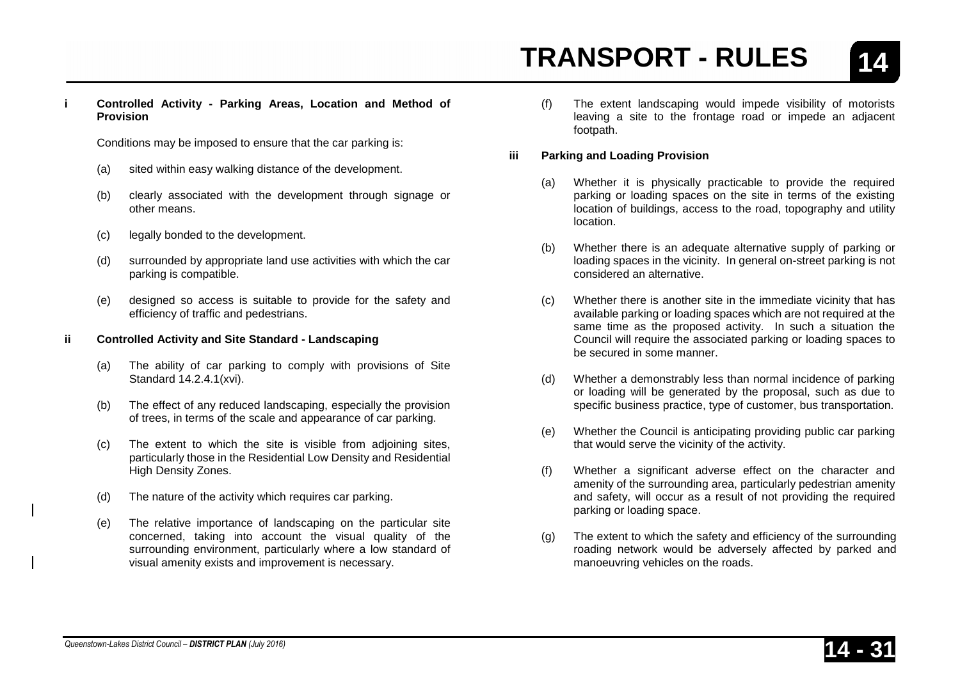**14**

**i Controlled Activity - Parking Areas, Location and Method of Provision**

Conditions may be imposed to ensure that the car parking is:

- (a) sited within easy walking distance of the development.
- (b) clearly associated with the development through signage or other means.
- (c) legally bonded to the development.
- (d) surrounded by appropriate land use activities with which the car parking is compatible.
- (e) designed so access is suitable to provide for the safety and efficiency of traffic and pedestrians.

#### **ii Controlled Activity and Site Standard - Landscaping**

- (a) The ability of car parking to comply with provisions of Site Standard 14.2.4.1(xvi).
- (b) The effect of any reduced landscaping, especially the provision of trees, in terms of the scale and appearance of car parking.
- (c) The extent to which the site is visible from adjoining sites, particularly those in the Residential Low Density and Residential High Density Zones.
- (d) The nature of the activity which requires car parking.
- (e) The relative importance of landscaping on the particular site concerned, taking into account the visual quality of the surrounding environment, particularly where a low standard of visual amenity exists and improvement is necessary.

(f) The extent landscaping would impede visibility of motorists leaving a site to the frontage road or impede an adjacent footpath.

#### **iii Parking and Loading Provision**

- (a) Whether it is physically practicable to provide the required parking or loading spaces on the site in terms of the existing location of buildings, access to the road, topography and utility location.
- (b) Whether there is an adequate alternative supply of parking or loading spaces in the vicinity. In general on-street parking is not considered an alternative.
- (c) Whether there is another site in the immediate vicinity that has available parking or loading spaces which are not required at the same time as the proposed activity. In such a situation the Council will require the associated parking or loading spaces to be secured in some manner.
- (d) Whether a demonstrably less than normal incidence of parking or loading will be generated by the proposal, such as due to specific business practice, type of customer, bus transportation.
- (e) Whether the Council is anticipating providing public car parking that would serve the vicinity of the activity.
- (f) Whether a significant adverse effect on the character and amenity of the surrounding area, particularly pedestrian amenity and safety, will occur as a result of not providing the required parking or loading space.
- (g) The extent to which the safety and efficiency of the surrounding roading network would be adversely affected by parked and manoeuvring vehicles on the roads.



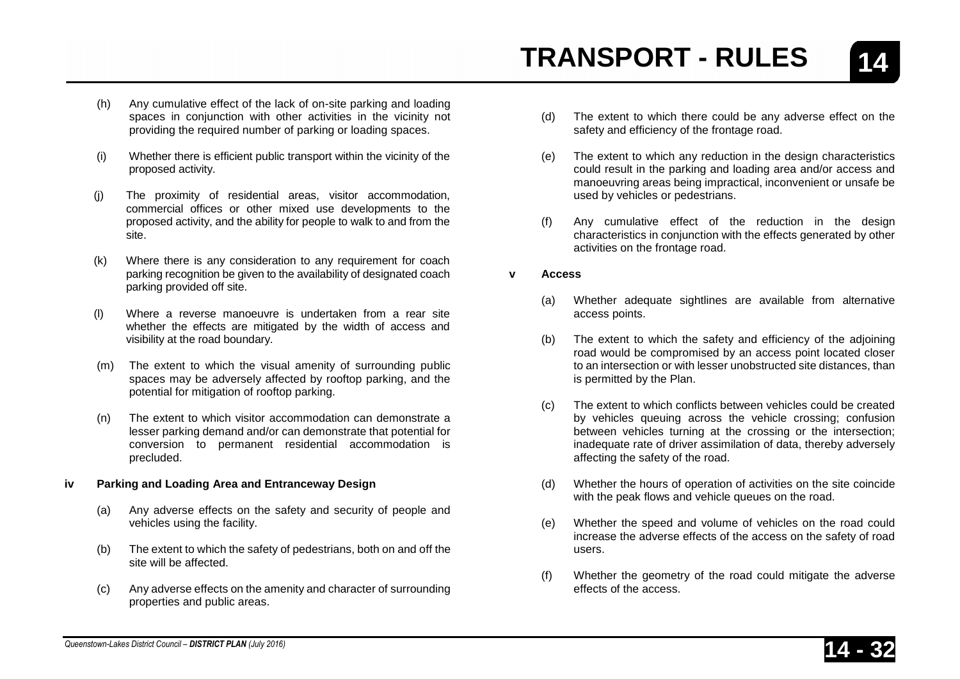- (h) Any cumulative effect of the lack of on-site parking and loading spaces in conjunction with other activities in the vicinity not providing the required number of parking or loading spaces.
- (i) Whether there is efficient public transport within the vicinity of the proposed activity.
- (j) The proximity of residential areas, visitor accommodation, commercial offices or other mixed use developments to the proposed activity, and the ability for people to walk to and from the site.
- (k) Where there is any consideration to any requirement for coach parking recognition be given to the availability of designated coach parking provided off site.
- (l) Where a reverse manoeuvre is undertaken from a rear site whether the effects are mitigated by the width of access and visibility at the road boundary.
- (m) The extent to which the visual amenity of surrounding public spaces may be adversely affected by rooftop parking, and the potential for mitigation of rooftop parking.
- (n) The extent to which visitor accommodation can demonstrate a lesser parking demand and/or can demonstrate that potential for conversion to permanent residential accommodation is precluded.

#### **iv Parking and Loading Area and Entranceway Design**

- (a) Any adverse effects on the safety and security of people and vehicles using the facility.
- (b) The extent to which the safety of pedestrians, both on and off the site will be affected.
- (c) Any adverse effects on the amenity and character of surrounding properties and public areas.
- (d) The extent to which there could be any adverse effect on the safety and efficiency of the frontage road.
- (e) The extent to which any reduction in the design characteristics could result in the parking and loading area and/or access and manoeuvring areas being impractical, inconvenient or unsafe be used by vehicles or pedestrians.
- (f) Any cumulative effect of the reduction in the design characteristics in conjunction with the effects generated by other activities on the frontage road.
- **v Access**
	- (a) Whether adequate sightlines are available from alternative access points.
	- (b) The extent to which the safety and efficiency of the adjoining road would be compromised by an access point located closer to an intersection or with lesser unobstructed site distances, than is permitted by the Plan.
	- (c) The extent to which conflicts between vehicles could be created by vehicles queuing across the vehicle crossing; confusion between vehicles turning at the crossing or the intersection; inadequate rate of driver assimilation of data, thereby adversely affecting the safety of the road.
	- (d) Whether the hours of operation of activities on the site coincide with the peak flows and vehicle queues on the road.
	- (e) Whether the speed and volume of vehicles on the road could increase the adverse effects of the access on the safety of road users.
	- (f) Whether the geometry of the road could mitigate the adverse effects of the access.



**14**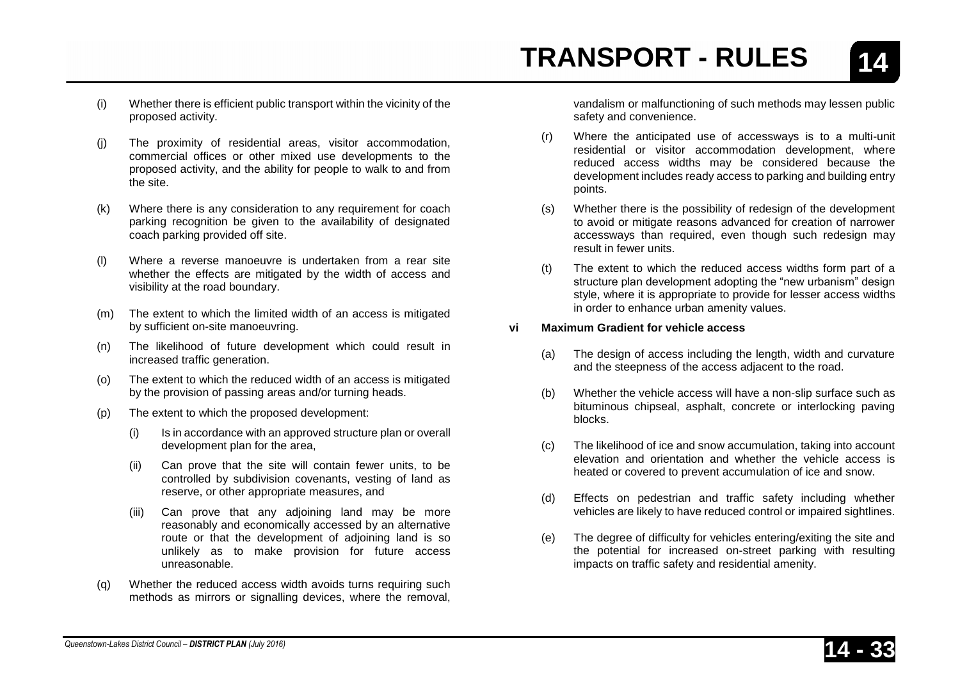- (i) Whether there is efficient public transport within the vicinity of the proposed activity.
- (j) The proximity of residential areas, visitor accommodation, commercial offices or other mixed use developments to the proposed activity, and the ability for people to walk to and from the site.
- (k) Where there is any consideration to any requirement for coach parking recognition be given to the availability of designated coach parking provided off site.
- (l) Where a reverse manoeuvre is undertaken from a rear site whether the effects are mitigated by the width of access and visibility at the road boundary.
- (m) The extent to which the limited width of an access is mitigated by sufficient on-site manoeuvring.
- (n) The likelihood of future development which could result in increased traffic generation.
- (o) The extent to which the reduced width of an access is mitigated by the provision of passing areas and/or turning heads.
- (p) The extent to which the proposed development:
	- (i) Is in accordance with an approved structure plan or overall development plan for the area,
	- (ii) Can prove that the site will contain fewer units, to be controlled by subdivision covenants, vesting of land as reserve, or other appropriate measures, and
	- (iii) Can prove that any adjoining land may be more reasonably and economically accessed by an alternative route or that the development of adjoining land is so unlikely as to make provision for future access unreasonable.
- (q) Whether the reduced access width avoids turns requiring such methods as mirrors or signalling devices, where the removal,

vandalism or malfunctioning of such methods may lessen public safety and convenience.

- (r) Where the anticipated use of accessways is to a multi-unit residential or visitor accommodation development, where reduced access widths may be considered because the development includes ready access to parking and building entry points.
- (s) Whether there is the possibility of redesign of the development to avoid or mitigate reasons advanced for creation of narrower accessways than required, even though such redesign may result in fewer units.
- (t) The extent to which the reduced access widths form part of a structure plan development adopting the "new urbanism" design style, where it is appropriate to provide for lesser access widths in order to enhance urban amenity values.

#### **vi Maximum Gradient for vehicle access**

- (a) The design of access including the length, width and curvature and the steepness of the access adjacent to the road.
- (b) Whether the vehicle access will have a non-slip surface such as bituminous chipseal, asphalt, concrete or interlocking paving blocks.
- (c) The likelihood of ice and snow accumulation, taking into account elevation and orientation and whether the vehicle access is heated or covered to prevent accumulation of ice and snow.
- (d) Effects on pedestrian and traffic safety including whether vehicles are likely to have reduced control or impaired sightlines.
- (e) The degree of difficulty for vehicles entering/exiting the site and the potential for increased on-street parking with resulting impacts on traffic safety and residential amenity.

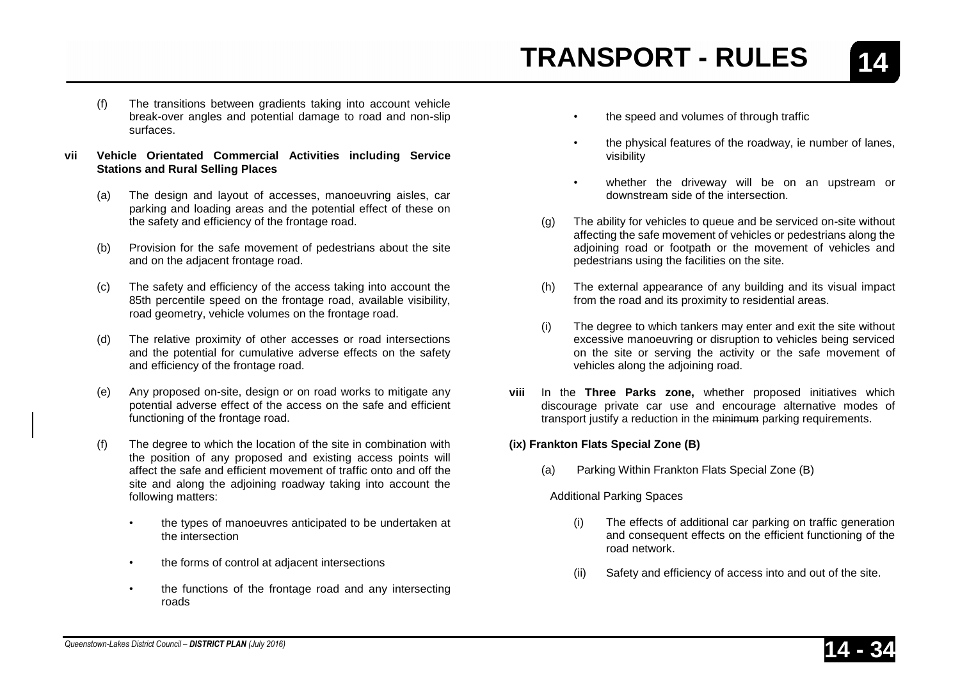- 
- (f) The transitions between gradients taking into account vehicle break-over angles and potential damage to road and non-slip surfaces.
- **vii Vehicle Orientated Commercial Activities including Service Stations and Rural Selling Places**
	- (a) The design and layout of accesses, manoeuvring aisles, car parking and loading areas and the potential effect of these on the safety and efficiency of the frontage road.
	- (b) Provision for the safe movement of pedestrians about the site and on the adjacent frontage road.
	- (c) The safety and efficiency of the access taking into account the 85th percentile speed on the frontage road, available visibility, road geometry, vehicle volumes on the frontage road.
	- (d) The relative proximity of other accesses or road intersections and the potential for cumulative adverse effects on the safety and efficiency of the frontage road.
	- (e) Any proposed on-site, design or on road works to mitigate any potential adverse effect of the access on the safe and efficient functioning of the frontage road.
	- (f) The degree to which the location of the site in combination with the position of any proposed and existing access points will affect the safe and efficient movement of traffic onto and off the site and along the adjoining roadway taking into account the following matters:
		- the types of manoeuvres anticipated to be undertaken at the intersection
		- the forms of control at adjacent intersections
		- the functions of the frontage road and any intersecting roads
- the speed and volumes of through traffic
- the physical features of the roadway, ie number of lanes, visibility
- whether the driveway will be on an upstream or downstream side of the intersection.
- (g) The ability for vehicles to queue and be serviced on-site without affecting the safe movement of vehicles or pedestrians along the adjoining road or footpath or the movement of vehicles and pedestrians using the facilities on the site.
- (h) The external appearance of any building and its visual impact from the road and its proximity to residential areas.
- (i) The degree to which tankers may enter and exit the site without excessive manoeuvring or disruption to vehicles being serviced on the site or serving the activity or the safe movement of vehicles along the adjoining road.
- **viii** In the **Three Parks zone,** whether proposed initiatives which discourage private car use and encourage alternative modes of transport justify a reduction in the minimum parking requirements.

#### **(ix) Frankton Flats Special Zone (B)**

(a) Parking Within Frankton Flats Special Zone (B)

#### Additional Parking Spaces

- (i) The effects of additional car parking on traffic generation and consequent effects on the efficient functioning of the road network.
- (ii) Safety and efficiency of access into and out of the site.



**14**